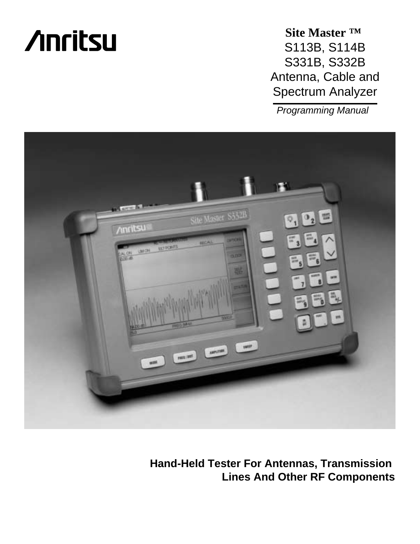# **Anritsu**

**Site Master ™** S113B, S114B S331B, S332B Antenna, Cable and Spectrum Analyzer

Programming Manual



**Hand-Held Tester For Antennas, Transmission Lines And Other RF Components**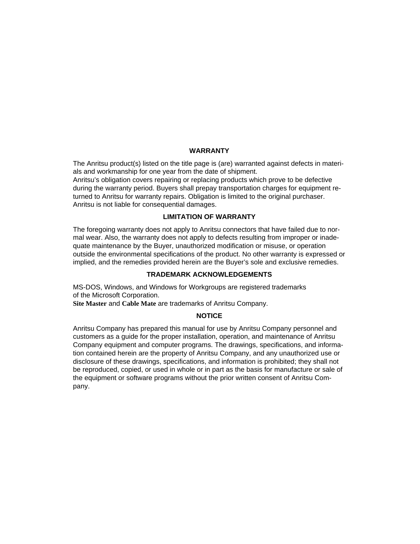#### **WARRANTY**

The Anritsu product(s) listed on the title page is (are) warranted against defects in materials and workmanship for one year from the date of shipment.

Anritsu's obligation covers repairing or replacing products which prove to be defective during the warranty period. Buyers shall prepay transportation charges for equipment returned to Anritsu for warranty repairs. Obligation is limited to the original purchaser. Anritsu is not liable for consequential damages.

#### **LIMITATION OF WARRANTY**

The foregoing warranty does not apply to Anritsu connectors that have failed due to normal wear. Also, the warranty does not apply to defects resulting from improper or inadequate maintenance by the Buyer, unauthorized modification or misuse, or operation outside the environmental specifications of the product. No other warranty is expressed or implied, and the remedies provided herein are the Buyer's sole and exclusive remedies.

#### **TRADEMARK ACKNOWLEDGEMENTS**

MS-DOS, Windows, and Windows for Workgroups are registered trademarks of the Microsoft Corporation.

**Site Master** and **Cable Mate** are trademarks of Anritsu Company.

#### **NOTICE**

Anritsu Company has prepared this manual for use by Anritsu Company personnel and customers as a guide for the proper installation, operation, and maintenance of Anritsu Company equipment and computer programs. The drawings, specifications, and information contained herein are the property of Anritsu Company, and any unauthorized use or disclosure of these drawings, specifications, and information is prohibited; they shall not be reproduced, copied, or used in whole or in part as the basis for manufacture or sale of the equipment or software programs without the prior written consent of Anritsu Company.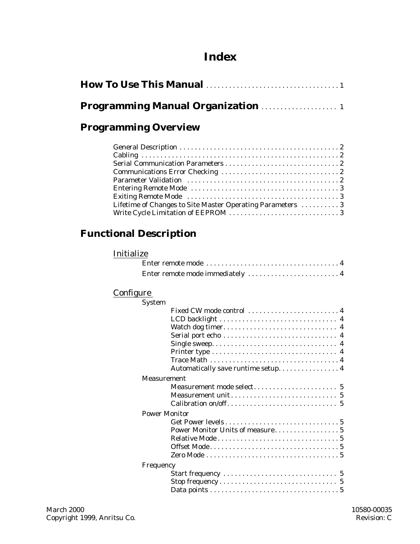# **Index**

# **[Programming Overview](#page-7-0)**

| Lifetime of Changes to Site Master Operating Parameters  3 |
|------------------------------------------------------------|
|                                                            |

# **[Functional Description](#page-9-0)**

# **Initialize**

| Enter remote mode immediately  4 |  |
|----------------------------------|--|

# **[Configure](#page-9-0)**

| <b>System</b>                       |
|-------------------------------------|
| Fixed CW mode control  4            |
|                                     |
|                                     |
|                                     |
|                                     |
|                                     |
|                                     |
| Automatically save runtime setup. 4 |
| <b>Measurement</b>                  |
|                                     |
|                                     |
|                                     |
| <b>Power Monitor</b>                |
|                                     |
|                                     |
|                                     |
|                                     |
|                                     |
| Frequency                           |
|                                     |
|                                     |
|                                     |
|                                     |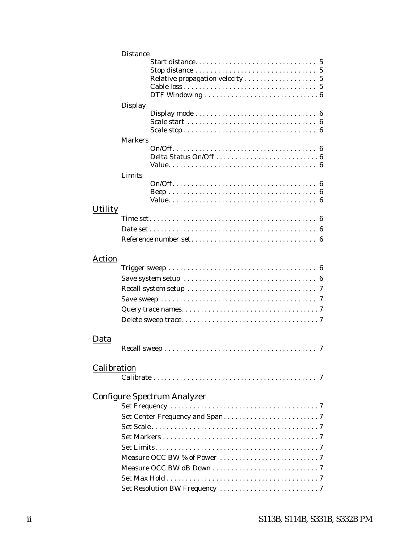|                | <b>Distance</b> |                                    |
|----------------|-----------------|------------------------------------|
|                |                 |                                    |
|                |                 |                                    |
|                |                 |                                    |
|                |                 |                                    |
|                |                 |                                    |
|                | <b>Display</b>  |                                    |
|                |                 |                                    |
|                |                 |                                    |
|                | <b>Markers</b>  |                                    |
|                |                 |                                    |
|                |                 |                                    |
|                |                 |                                    |
|                | Limits          |                                    |
|                |                 |                                    |
|                |                 |                                    |
|                |                 |                                    |
| <b>Utility</b> |                 |                                    |
|                |                 |                                    |
|                |                 |                                    |
|                |                 |                                    |
|                |                 |                                    |
| <b>Action</b>  |                 |                                    |
|                |                 |                                    |
|                |                 |                                    |
|                |                 |                                    |
|                |                 |                                    |
|                |                 |                                    |
|                |                 |                                    |
|                |                 |                                    |
| Data           |                 |                                    |
|                |                 |                                    |
|                |                 |                                    |
| Calibration    |                 |                                    |
|                |                 |                                    |
|                |                 |                                    |
|                |                 | <b>Configure Spectrum Analyzer</b> |
|                |                 |                                    |
|                |                 |                                    |
|                |                 |                                    |
|                |                 |                                    |
|                |                 |                                    |
|                |                 |                                    |
|                |                 |                                    |
|                |                 |                                    |
|                |                 |                                    |
|                |                 |                                    |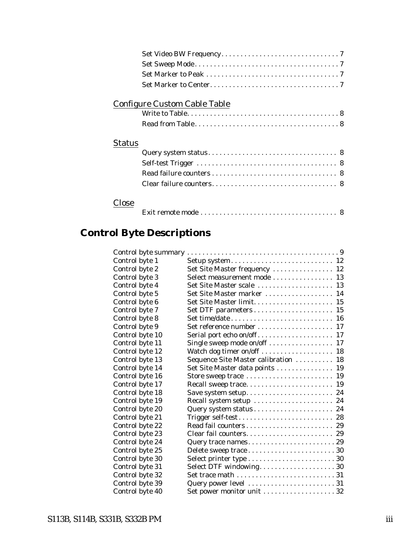|               | <b>Configure Custom Cable Table</b> |  |
|---------------|-------------------------------------|--|
|               |                                     |  |
|               |                                     |  |
| <b>Status</b> |                                     |  |
|               |                                     |  |
|               |                                     |  |
|               |                                     |  |
|               |                                     |  |
| <b>Close</b>  |                                     |  |
|               |                                     |  |

# **[Control Byte Descriptions](#page-14-0)**

| Control byte 1  |                                                            |
|-----------------|------------------------------------------------------------|
| Control byte 2  | Set Site Master frequency  12                              |
| Control byte 3  | Select measurement mode  13                                |
| Control byte 4  |                                                            |
| Control byte 5  | Set Site Master marker  14                                 |
| Control byte 6  |                                                            |
| Control byte 7  |                                                            |
| Control byte 8  |                                                            |
| Control byte 9  | Set reference number  17                                   |
| Control byte 10 |                                                            |
| Control byte 11 | Single sweep mode on/off  17                               |
| Control byte 12 | Watch dog timer on/off $\dots\dots\dots\dots\dots\dots$ 18 |
| Control byte 13 | Sequence Site Master calibration<br>18                     |
| Control byte 14 | Set Site Master data points<br>19                          |
| Control byte 16 |                                                            |
| Control byte 17 |                                                            |
| Control byte 18 |                                                            |
| Control byte 19 | Recall system setup  24                                    |
| Control byte 20 |                                                            |
| Control byte 21 |                                                            |
| Control byte 22 |                                                            |
| Control byte 23 | Clear fail counters 29                                     |
| Control byte 24 |                                                            |
| Control byte 25 |                                                            |
| Control byte 30 |                                                            |
| Control byte 31 |                                                            |
| Control byte 32 |                                                            |
| Control byte 39 |                                                            |
| Control byte 40 | Set power monitor unit 32                                  |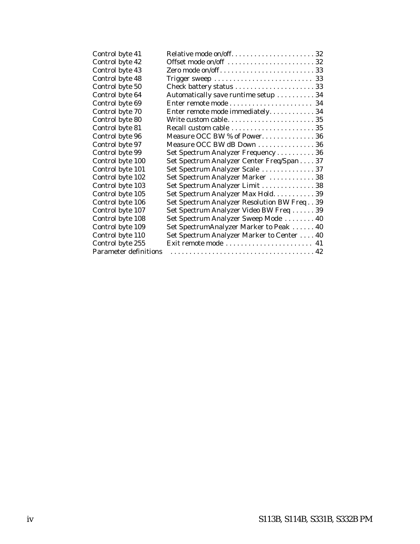| Offset mode on/off 32<br>Automatically save runtime setup  34<br>Enter remote mode immediately. 34<br>Recall custom cable  35<br>Measure OCC BW % of Power. 36<br>Measure OCC BW dB Down 36<br>Set Spectrum Analyzer Frequency 36<br>Set Spectrum Analyzer Center Freq/Span37<br>Set Spectrum Analyzer Scale 37<br>Set Spectrum Analyzer Marker  38<br>Set Spectrum Analyzer Limit 38<br>Set Spectrum Analyzer Max Hold. 39<br>Set Spectrum Analyzer Resolution BW Freq. . 39<br>Set Spectrum Analyzer Video BW Freq 39<br>Set Spectrum Analyzer Sweep Mode  40<br>Set SpectrumAnalyzer Marker to Peak 40<br>Set Spectrum Analyzer Marker to Center 40<br>Exit remote mode  41 | Control byte 41              | Relative mode on/off32 |  |
|--------------------------------------------------------------------------------------------------------------------------------------------------------------------------------------------------------------------------------------------------------------------------------------------------------------------------------------------------------------------------------------------------------------------------------------------------------------------------------------------------------------------------------------------------------------------------------------------------------------------------------------------------------------------------------|------------------------------|------------------------|--|
|                                                                                                                                                                                                                                                                                                                                                                                                                                                                                                                                                                                                                                                                                | Control byte 42              |                        |  |
|                                                                                                                                                                                                                                                                                                                                                                                                                                                                                                                                                                                                                                                                                | Control byte 43              |                        |  |
|                                                                                                                                                                                                                                                                                                                                                                                                                                                                                                                                                                                                                                                                                | Control byte 48              |                        |  |
|                                                                                                                                                                                                                                                                                                                                                                                                                                                                                                                                                                                                                                                                                | Control byte 50              |                        |  |
|                                                                                                                                                                                                                                                                                                                                                                                                                                                                                                                                                                                                                                                                                | Control byte 64              |                        |  |
|                                                                                                                                                                                                                                                                                                                                                                                                                                                                                                                                                                                                                                                                                | Control byte 69              |                        |  |
|                                                                                                                                                                                                                                                                                                                                                                                                                                                                                                                                                                                                                                                                                | Control byte 70              |                        |  |
|                                                                                                                                                                                                                                                                                                                                                                                                                                                                                                                                                                                                                                                                                | Control byte 80              |                        |  |
|                                                                                                                                                                                                                                                                                                                                                                                                                                                                                                                                                                                                                                                                                | Control byte 81              |                        |  |
|                                                                                                                                                                                                                                                                                                                                                                                                                                                                                                                                                                                                                                                                                | Control byte 96              |                        |  |
|                                                                                                                                                                                                                                                                                                                                                                                                                                                                                                                                                                                                                                                                                | Control byte 97              |                        |  |
|                                                                                                                                                                                                                                                                                                                                                                                                                                                                                                                                                                                                                                                                                | Control byte 99              |                        |  |
|                                                                                                                                                                                                                                                                                                                                                                                                                                                                                                                                                                                                                                                                                | Control byte 100             |                        |  |
|                                                                                                                                                                                                                                                                                                                                                                                                                                                                                                                                                                                                                                                                                | Control byte 101             |                        |  |
|                                                                                                                                                                                                                                                                                                                                                                                                                                                                                                                                                                                                                                                                                | Control byte 102             |                        |  |
|                                                                                                                                                                                                                                                                                                                                                                                                                                                                                                                                                                                                                                                                                | Control byte 103             |                        |  |
|                                                                                                                                                                                                                                                                                                                                                                                                                                                                                                                                                                                                                                                                                | Control byte 105             |                        |  |
|                                                                                                                                                                                                                                                                                                                                                                                                                                                                                                                                                                                                                                                                                | Control byte 106             |                        |  |
|                                                                                                                                                                                                                                                                                                                                                                                                                                                                                                                                                                                                                                                                                | Control byte 107             |                        |  |
|                                                                                                                                                                                                                                                                                                                                                                                                                                                                                                                                                                                                                                                                                | Control byte 108             |                        |  |
|                                                                                                                                                                                                                                                                                                                                                                                                                                                                                                                                                                                                                                                                                | Control byte 109             |                        |  |
|                                                                                                                                                                                                                                                                                                                                                                                                                                                                                                                                                                                                                                                                                | Control byte 110             |                        |  |
|                                                                                                                                                                                                                                                                                                                                                                                                                                                                                                                                                                                                                                                                                | Control byte 255             |                        |  |
|                                                                                                                                                                                                                                                                                                                                                                                                                                                                                                                                                                                                                                                                                | <b>Parameter definitions</b> |                        |  |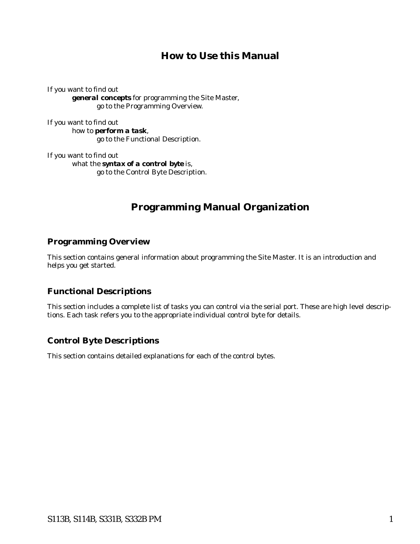# **How to Use this Manual**

<span id="page-6-0"></span>If you want to find out *general concepts* for programming the Site Master, go to the Programming Overview.

If you want to find out how to *perform a task*, go to the Functional Description.

If you want to find out what the *syntax of a control byte* is, go to the Control Byte Description.

# **Programming Manual Organization**

# **Programming Overview**

This section contains general information about programming the Site Master. It is an introduction and helps you get started.

# **Functional Descriptions**

This section includes a complete list of tasks you can control via the serial port. These are high level descriptions. Each task refers you to the appropriate individual control byte for details.

# **Control Byte Descriptions**

This section contains detailed explanations for each of the control bytes.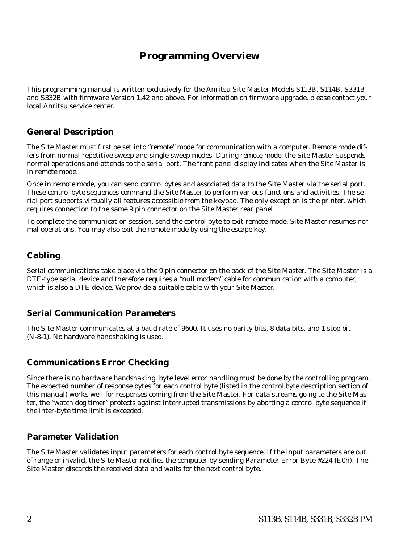# **Programming Overview**

<span id="page-7-0"></span>This programming manual is written exclusively for the Anritsu Site Master Models S113B, S114B, S331B, and S332B with firmware Version 1.42 and above. For information on firmware upgrade, please contact your local Anritsu service center.

# **General Description**

The Site Master must first be set into "remote" mode for communication with a computer. Remote mode differs from normal repetitive sweep and single-sweep modes. During remote mode, the Site Master suspends normal operations and attends to the serial port. The front panel display indicates when the Site Master is in remote mode.

Once in remote mode, you can send control bytes and associated data to the Site Master via the serial port. These control byte sequences command the Site Master to perform various functions and activities. The serial port supports virtually all features accessible from the keypad. The only exception is the printer, which requires connection to the same 9 pin connector on the Site Master rear panel.

To complete the communication session, send the control byte to exit remote mode. Site Master resumes normal operations. You may also exit the remote mode by using the escape key.

# **Cabling**

Serial communications take place via the 9 pin connector on the back of the Site Master. The Site Master is a DTE-type serial device and therefore requires a "null modem" cable for communication with a computer, which is also a DTE device. We provide a suitable cable with your Site Master.

# **Serial Communication Parameters**

The Site Master communicates at a baud rate of 9600. It uses no parity bits, 8 data bits, and 1 stop bit (N-8-1). No hardware handshaking is used.

# **Communications Error Checking**

Since there is no hardware handshaking, byte level error handling must be done by the controlling program. The expected number of response bytes for each control byte (listed in the control byte description section of this manual) works well for responses coming from the Site Master. For data streams going to the Site Master, the "watch dog timer" protects against interrupted transmissions by aborting a control byte sequence if the inter-byte time limit is exceeded.

# **Parameter Validation**

The Site Master validates input parameters for each control byte sequence. If the input parameters are out of range or invalid, the Site Master notifies the computer by sending Parameter Error Byte #224 (E0h). The Site Master discards the received data and waits for the next control byte.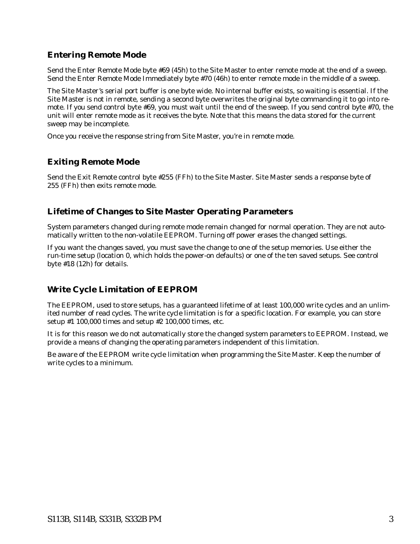# <span id="page-8-0"></span>**Entering Remote Mode**

Send the Enter Remote Mode byte #69 (45h) to the Site Master to enter remote mode at the end of a sweep. Send the Enter Remote Mode Immediately byte #70 (46h) to enter remote mode in the middle of a sweep.

The Site Master's serial port buffer is one byte wide. No internal buffer exists, so waiting is essential. If the Site Master is not in remote, sending a second byte overwrites the original byte commanding it to go into remote. If you send control byte #69, you must wait until the end of the sweep. If you send control byte #70, the unit will enter remote mode as it receives the byte. Note that this means the data stored for the current sweep may be incomplete.

Once you receive the response string from Site Master, you're in remote mode.

# **Exiting Remote Mode**

Send the Exit Remote control byte #255 (FFh) to the Site Master. Site Master sends a response byte of 255 (FFh) then exits remote mode.

# **Lifetime of Changes to Site Master Operating Parameters**

System parameters changed during remote mode remain changed for normal operation. They are not automatically written to the non-volatile EEPROM. Turning off power erases the changed settings.

If you want the changes saved, you must save the change to one of the setup memories. Use either the run-time setup (location 0, which holds the power-on defaults) or one of the ten saved setups. See control byte #18 (12h) for details.

# **Write Cycle Limitation of EEPROM**

The EEPROM, used to store setups, has a guaranteed lifetime of at least 100,000 write cycles and an unlimited number of read cycles. The write cycle limitation is for a specific location. For example, you can store setup #1 100,000 times and setup #2 100,000 times, etc.

It is for this reason we do not automatically store the changed system parameters to EEPROM. Instead, we provide a means of changing the operating parameters independent of this limitation.

Be aware of the EEPROM write cycle limitation when programming the Site Master. Keep the number of write cycles to a minimum.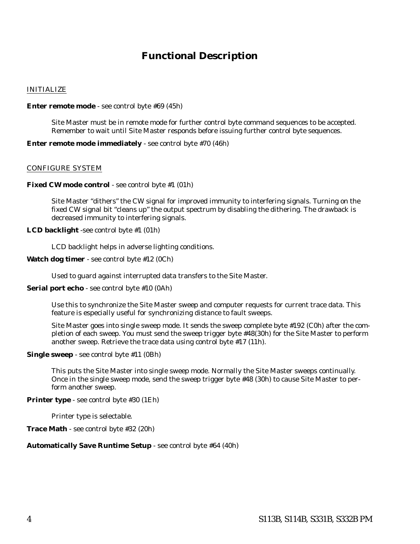# **Functional Description**

#### <span id="page-9-0"></span>INITIALIZE

#### **Enter remote mode** - see control byte #69 (45h)

Site Master must be in remote mode for further control byte command sequences to be accepted. Remember to wait until Site Master responds before issuing further control byte sequences.

#### **Enter remote mode immediately** - see control byte #70 (46h)

#### CONFIGURE SYSTEM

**Fixed CW mode control** - see control byte #1 (01h)

Site Master "dithers" the CW signal for improved immunity to interfering signals. Turning on the fixed CW signal bit "cleans up" the output spectrum by disabling the dithering. The drawback is decreased immunity to interfering signals.

#### **LCD backlight** -see control byte #1 (01h)

LCD backlight helps in adverse lighting conditions.

#### **Watch dog timer** - see control byte #12 (0Ch)

Used to guard against interrupted data transfers to the Site Master.

#### **Serial port echo** - see control byte #10 (0Ah)

Use this to synchronize the Site Master sweep and computer requests for current trace data. This feature is especially useful for synchronizing distance to fault sweeps.

Site Master goes into single sweep mode. It sends the sweep complete byte #192 (C0h) after the completion of each sweep. You must send the sweep trigger byte #48(30h) for the Site Master to perform another sweep. Retrieve the trace data using control byte #17 (11h).

#### **Single sweep** - see control byte #11 (0Bh)

This puts the Site Master into single sweep mode. Normally the Site Master sweeps continually. Once in the single sweep mode, send the sweep trigger byte #48 (30h) to cause Site Master to perform another sweep.

**Printer type** - see control byte #30 (1Eh)

Printer type is selectable.

**Trace Math** - see control byte #32 (20h)

#### **Automatically Save Runtime Setup** - see control byte #64 (40h)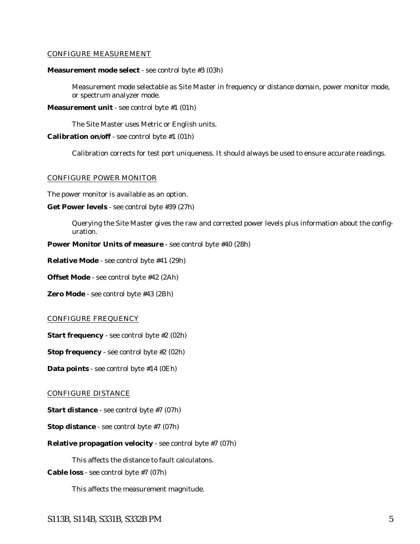#### <span id="page-10-0"></span>CONFIGURE MEASUREMENT

#### **Measurement mode select** - see control byte #3 (03h)

Measurement mode selectable as Site Master in frequency or distance domain, power monitor mode, or spectrum analyzer mode.

**Measurement unit** - see control byte #1 (01h)

The Site Master uses Metric or English units.

**Calibration on/off** - see control byte #1 (01h)

Calibration corrects for test port uniqueness. It should always be used to ensure accurate readings.

#### CONFIGURE POWER MONITOR

The power monitor is available as an option.

**Get Power levels** - see control byte #39 (27h)

Querying the Site Master gives the raw and corrected power levels plus information about the configuration.

**Power Monitor Units of measure** - see control byte #40 (28h)

**Relative Mode** - see control byte #41 (29h)

**Offset Mode** - see control byte #42 (2Ah)

**Zero Mode** - see control byte #43 (2Bh)

#### CONFIGURE FREQUENCY

**Start frequency** - see control byte #2 (02h)

**Stop frequency** - see control byte #2 (02h)

**Data points** - see control byte #14 (0Eh)

#### CONFIGURE DISTANCE

**Start distance** - see control byte #7 (07h)

**Stop distance** - see control byte #7 (07h)

**Relative propagation velocity** - see control byte #7 (07h)

This affects the distance to fault calculatons.

**Cable loss** - see control byte #7 (07h)

This affects the measurement magnitude.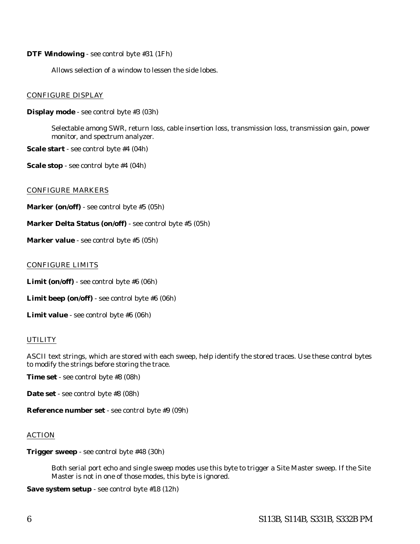#### <span id="page-11-0"></span>**DTF Windowing** - see control byte #31 (1Fh)

Allows selection of a window to lessen the side lobes.

#### CONFIGURE DISPLAY

**Display mode** - see control byte #3 (03h)

Selectable among SWR, return loss, cable insertion loss, transmission loss, transmission gain, power monitor, and spectrum analyzer.

**Scale start** - see control byte #4 (04h)

**Scale stop** - see control byte #4 (04h)

#### CONFIGURE MARKERS

**Marker (on/off)** - see control byte #5 (05h)

**Marker Delta Status (on/off)** - see control byte #5 (05h)

**Marker value** - see control byte #5 (05h)

#### CONFIGURE LIMITS

**Limit (on/off)** - see control byte #6 (06h)

**Limit beep (on/off)** - see control byte #6 (06h)

**Limit value** - see control byte #6 (06h)

#### **UTILITY**

ASCII text strings, which are stored with each sweep, help identify the stored traces. Use these control bytes to modify the strings before storing the trace.

**Time set** - see control byte #8 (08h)

**Date set** - see control byte #8 (08h)

**Reference number set** - see control byte #9 (09h)

#### ACTION

**Trigger sweep** - see control byte #48 (30h)

Both serial port echo and single sweep modes use this byte to trigger a Site Master sweep. If the Site Master is not in one of those modes, this byte is ignored.

**Save system setup** - see control byte #18 (12h)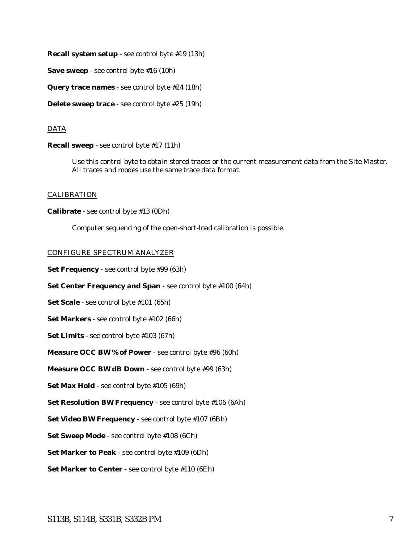<span id="page-12-0"></span>**Recall system setup** - see control byte #19 (13h)

**Save sweep** - see control byte #16 (10h)

**Query trace names** - see control byte #24 (18h)

**Delete sweep trace** - see control byte #25 (19h)

#### DATA

**Recall sweep** - see control byte #17 (11h)

Use this control byte to obtain stored traces or the current measurement data from the Site Master. All traces and modes use the same trace data format.

#### CALIBRATION

#### **Calibrate** - see control byte #13 (0Dh)

Computer sequencing of the open-short-load calibration is possible.

#### CONFIGURE SPECTRUM ANALYZER

**Set Frequency** - see control byte #99 (63h)

**Set Center Frequency and Span** - see control byte #100 (64h)

**Set Scale** - see control byte #101 (65h)

**Set Markers** - see control byte #102 (66h)

**Set Limits** - see control byte #103 (67h)

**Measure OCC BW % of Power** - see control byte #96 (60h)

**Measure OCC BW dB Down** - see control byte #99 (63h)

**Set Max Hold** - see control byte #105 (69h)

**Set Resolution BW Frequency** - see control byte #106 (6Ah)

**Set Video BW Frequency** - see control byte #107 (6Bh)

**Set Sweep Mode** - see control byte #108 (6Ch)

**Set Marker to Peak** - see control byte #109 (6Dh)

**Set Marker to Center** - see control byte #110 (6Eh)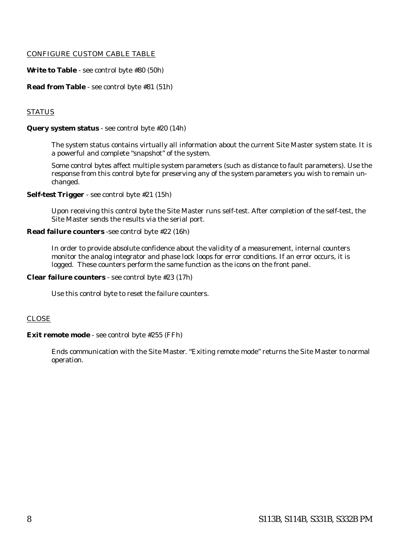#### <span id="page-13-0"></span>CONFIGURE CUSTOM CABLE TABLE

**Write to Table** - see control byte #80 (50h)

#### **Read from Table** - see control byte #81 (51h)

#### STATUS

#### **Query system status** - see control byte #20 (14h)

The system status contains virtually all information about the current Site Master system state. It is a powerful and complete "snapshot" of the system.

Some control bytes affect multiple system parameters (such as distance to fault parameters). Use the response from this control byte for preserving any of the system parameters you wish to remain unchanged.

**Self-test Trigger** - see control byte #21 (15h)

Upon receiving this control byte the Site Master runs self-test. After completion of the self-test, the Site Master sends the results via the serial port.

#### **Read failure counters** -see control byte #22 (16h)

In order to provide absolute confidence about the validity of a measurement, internal counters monitor the analog integrator and phase lock loops for error conditions. If an error occurs, it is logged. These counters perform the same function as the icons on the front panel.

**Clear failure counters** - see control byte #23 (17h)

Use this control byte to reset the failure counters.

#### CLOSE

#### **Exit remote mode** - see control byte #255 (FFh)

Ends communication with the Site Master. "Exiting remote mode" returns the Site Master to normal operation.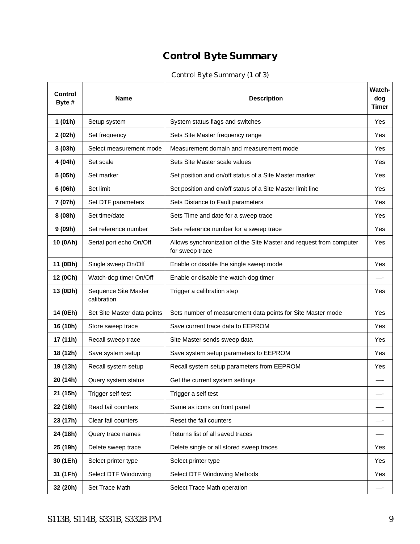# **Control Byte Summary**

# Control Byte Summary (1 of 3)

<span id="page-14-0"></span>

| Control<br>Byte # | <b>Name</b>                         | Watch-<br><b>Description</b>                                                           |     |
|-------------------|-------------------------------------|----------------------------------------------------------------------------------------|-----|
| 1(01h)            | Setup system                        | System status flags and switches                                                       | Yes |
| 2(02h)            | Set frequency                       | Sets Site Master frequency range                                                       | Yes |
| 3(03h)            | Select measurement mode             | Measurement domain and measurement mode                                                | Yes |
| 4 (04h)           | Set scale                           | Sets Site Master scale values                                                          | Yes |
| 5 (05h)           | Set marker                          | Set position and on/off status of a Site Master marker                                 | Yes |
| 6 (06h)           | Set limit                           | Set position and on/off status of a Site Master limit line                             | Yes |
| 7 (07h)           | Set DTF parameters                  | Sets Distance to Fault parameters                                                      | Yes |
| 8 (08h)           | Set time/date                       | Sets Time and date for a sweep trace                                                   | Yes |
| 9(09h)            | Set reference number                | Sets reference number for a sweep trace                                                | Yes |
| 10 (0Ah)          | Serial port echo On/Off             | Allows synchronization of the Site Master and request from computer<br>for sweep trace | Yes |
| 11 (0Bh)          | Single sweep On/Off                 | Enable or disable the single sweep mode                                                | Yes |
| 12 (0Ch)          | Watch-dog timer On/Off              | Enable or disable the watch-dog timer                                                  |     |
| 13 (0Dh)          | Sequence Site Master<br>calibration | Trigger a calibration step                                                             |     |
| 14 (0Eh)          | Set Site Master data points         | Sets number of measurement data points for Site Master mode                            |     |
| 16 (10h)          | Store sweep trace                   | Save current trace data to EEPROM                                                      |     |
| 17 (11h)          | Recall sweep trace                  | Site Master sends sweep data                                                           | Yes |
| 18 (12h)          | Save system setup                   | Save system setup parameters to EEPROM                                                 |     |
| 19 (13h)          | Recall system setup                 | Recall system setup parameters from EEPROM                                             | Yes |
| 20 (14h)          | Query system status                 | Get the current system settings                                                        |     |
| 21 (15h)          | Trigger self-test                   | Trigger a self test                                                                    |     |
| 22 (16h)          | Read fail counters                  | Same as icons on front panel                                                           |     |
| 23 (17h)          | Clear fail counters                 | Reset the fail counters                                                                |     |
| 24 (18h)          | Query trace names                   | Returns list of all saved traces                                                       |     |
| 25 (19h)          | Delete sweep trace                  | Delete single or all stored sweep traces                                               | Yes |
| 30 (1Eh)          | Select printer type                 | Select printer type                                                                    | Yes |
| 31 (1Fh)          | Select DTF Windowing                | Select DTF Windowing Methods                                                           | Yes |
| 32 (20h)          | Set Trace Math                      | Select Trace Math operation                                                            |     |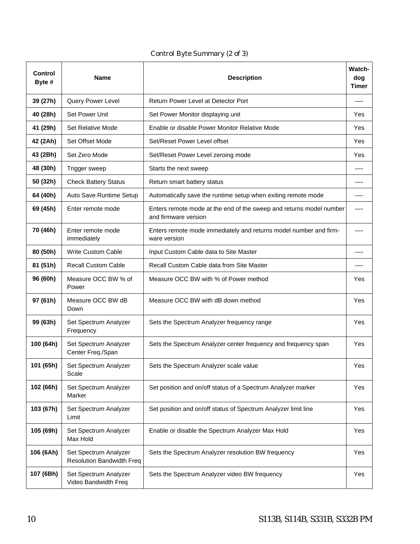# Control Byte Summary (2 of 3)

| Control<br>Byte # | Name<br><b>Description</b>                                |                                                                                             | Watch-<br>dog<br><b>Timer</b> |
|-------------------|-----------------------------------------------------------|---------------------------------------------------------------------------------------------|-------------------------------|
| 39 (27h)          | Query Power Level                                         | Return Power Level at Detector Port                                                         |                               |
| 40 (28h)          | <b>Set Power Unit</b>                                     | Set Power Monitor displaying unit                                                           | Yes                           |
| 41 (29h)          | Set Relative Mode                                         | Enable or disable Power Monitor Relative Mode                                               | Yes                           |
| 42 (2Ah)          | Set Offset Mode                                           | Set/Reset Power Level offset                                                                | Yes                           |
| 43 (2Bh)          | Set Zero Mode                                             | Set/Reset Power Level zeroing mode                                                          | Yes                           |
| 48 (30h)          | Trigger sweep                                             | Starts the next sweep                                                                       |                               |
| 50 (32h)          | <b>Check Battery Status</b>                               | Return smart battery status                                                                 |                               |
| 64 (40h)          | Auto Save Runtime Setup                                   | Automatically save the runtime setup when exiting remote mode                               |                               |
| 69 (45h)          | Enter remote mode                                         | Enters remote mode at the end of the sweep and returns model number<br>and firmware version |                               |
| 70 (46h)          | Enter remote mode<br>immediately                          | Enters remote mode immediately and returns model number and firm-<br>ware version           |                               |
| 80 (50h)          | <b>Write Custom Cable</b>                                 | Input Custom Cable data to Site Master                                                      |                               |
| 81 (51h)          | <b>Recall Custom Cable</b>                                | Recall Custom Cable data from Site Master                                                   |                               |
| 96 (60h)          | Measure OCC BW % of<br>Power                              | Measure OCC BW with % of Power method                                                       |                               |
| 97 (61h)          | Measure OCC BW dB<br>Down                                 | Measure OCC BW with dB down method                                                          |                               |
| 99 (63h)          | Set Spectrum Analyzer<br>Frequency                        | Sets the Spectrum Analyzer frequency range                                                  |                               |
| 100 (64h)         | Set Spectrum Analyzer<br>Center Freq./Span                | Sets the Spectrum Analyzer center frequency and frequency span                              |                               |
| 101 (65h)         | Set Spectrum Analyzer<br>Scale                            | Sets the Spectrum Analyzer scale value                                                      |                               |
| 102 (66h)         | Set Spectrum Analyzer<br>Marker                           | Set position and on/off status of a Spectrum Analyzer marker                                |                               |
| 103 (67h)         | Set Spectrum Analyzer<br>Limit                            | Set position and on/off status of Spectrum Analyzer limit line                              |                               |
| 105 (69h)         | Set Spectrum Analyzer<br>Max Hold                         | Enable or disable the Spectrum Analyzer Max Hold                                            |                               |
| 106 (6Ah)         | Set Spectrum Analyzer<br><b>Resolution Bandwidth Freq</b> | Sets the Spectrum Analyzer resolution BW frequency                                          |                               |
| 107 (6Bh)         | Set Spectrum Analyzer<br>Video Bandwidth Freq             | Sets the Spectrum Analyzer video BW frequency                                               |                               |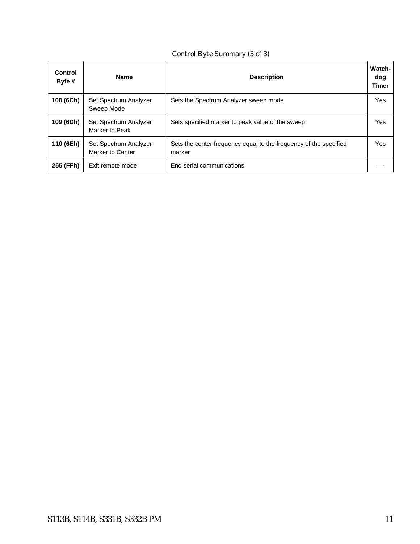# Control Byte Summary (3 of 3)

| Control<br>Byte $#$ | <b>Name</b>                               | <b>Description</b>                                                          |     |
|---------------------|-------------------------------------------|-----------------------------------------------------------------------------|-----|
| 108 (6Ch)           | Set Spectrum Analyzer<br>Sweep Mode       | Sets the Spectrum Analyzer sweep mode                                       | Yes |
| 109 (6Dh)           | Set Spectrum Analyzer<br>Marker to Peak   | Sets specified marker to peak value of the sweep                            | Yes |
| 110 (6Eh)           | Set Spectrum Analyzer<br>Marker to Center | Sets the center frequency equal to the frequency of the specified<br>marker | Yes |
| 255 (FFh)           | Exit remote mode                          | End serial communications                                                   |     |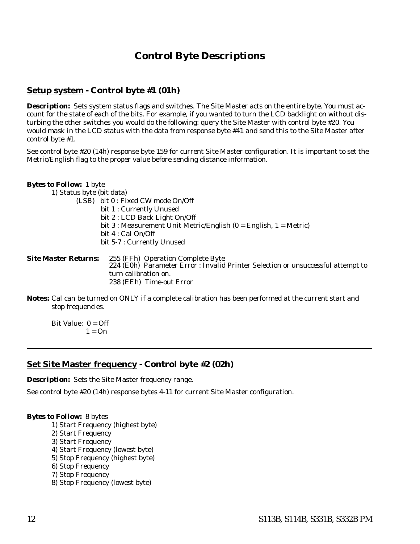# **Control Byte Descriptions**

# <span id="page-17-0"></span>**Setup system - Control byte #1 (01h)**

*Description:* Sets system status flags and switches. The Site Master acts on the entire byte. You must account for the state of each of the bits. For example, if you wanted to turn the LCD backlight on without disturbing the other switches you would do the following: query the Site Master with control byte #20. You would mask in the LCD status with the data from response byte #41 and send this to the Site Master after control byte #1.

See control byte #20 (14h) response byte 159 for current Site Master configuration. It is important to set the Metric/English flag to the proper value before sending distance information.

| <b>Bytes to Follow:</b> 1 byte |  |  |  |
|--------------------------------|--|--|--|
|                                |  |  |  |

1) Status byte (bit data) (LSB) bit 0 : Fixed CW mode On/Off bit 1 : Currently Unused bit 2 : LCD Back Light On/Off bit 3 : Measurement Unit Metric/English (0 = English, 1 = Metric) bit 4 : Cal On/Off bit 5-7 : Currently Unused

| <i><b>Site Master Returns:</b></i> | 255 (FFh) Operation Complete Byte                                                |
|------------------------------------|----------------------------------------------------------------------------------|
|                                    | 224 (E0h) Parameter Error : Invalid Printer Selection or unsuccessful attempt to |
|                                    | turn calibration on.                                                             |
|                                    | 238 (EEh) Time-out Error                                                         |

**Notes:** Cal can be turned on ONLY if a complete calibration has been performed at the current start and stop frequencies.

Bit Value:  $0 = \text{Off}$  $1 = On$ 

# **Set Site Master frequency - Control byte #2 (02h)**

*Description:* Sets the Site Master frequency range.

See control byte #20 (14h) response bytes 4-11 for current Site Master configuration.

#### *Bytes to Follow:* 8 bytes

- 1) Start Frequency (highest byte)
- 2) Start Frequency
- 3) Start Frequency
- 4) Start Frequency (lowest byte)
- 5) Stop Frequency (highest byte)
- 6) Stop Frequency
- 7) Stop Frequency
- 8) Stop Frequency (lowest byte)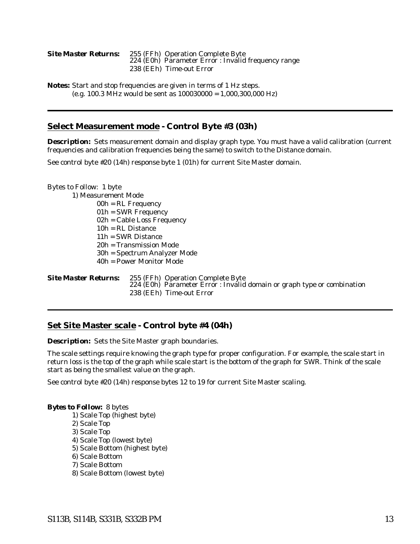<span id="page-18-0"></span>

| <i><b>Site Master Returns:</b></i> | 255 (FFh) Operation Complete Byte<br>224 (E0h) Parameter Error : Invalid frequency range |
|------------------------------------|------------------------------------------------------------------------------------------|
|                                    | 238 (EEh) Time-out Error                                                                 |

**Notes:** Start and stop frequencies are given in terms of 1 Hz steps. (e.g. 100.3 MHz would be sent as 100030000 = 1,000,300,000 Hz)

# **Select Measurement mode - Control Byte #3 (03h)**

*Description:* Sets measurement domain and display graph type. You must have a valid calibration (current frequencies and calibration frequencies being the same) to switch to the Distance domain.

See control byte #20 (14h) response byte 1 (01h) for current Site Master domain.

Bytes to Follow: 1 byte 1) Measurement Mode 00h = RL Frequency 01h = SWR Frequency 02h = Cable Loss Frequency 10h = RL Distance 11h = SWR Distance 20h = Transmission Mode 30h = Spectrum Analyzer Mode 40h = Power Monitor Mode *Site Master Returns:* 255 (FFh) Operation Complete Byte 224 (E0h) Parameter Error : Invalid domain or graph type or combination 238 (EEh) Time-out Error

# **Set Site Master scale - Control byte #4 (04h)**

*Description:* Sets the Site Master graph boundaries.

The scale settings require knowing the graph type for proper configuration. For example, the scale start in return loss is the top of the graph while scale start is the bottom of the graph for SWR. Think of the scale start as being the smallest value on the graph.

See control byte #20 (14h) response bytes 12 to 19 for current Site Master scaling.

#### *Bytes to Follow:* 8 bytes

1) Scale Top (highest byte) 2) Scale Top 3) Scale Top 4) Scale Top (lowest byte) 5) Scale Bottom (highest byte) 6) Scale Bottom 7) Scale Bottom 8) Scale Bottom (lowest byte)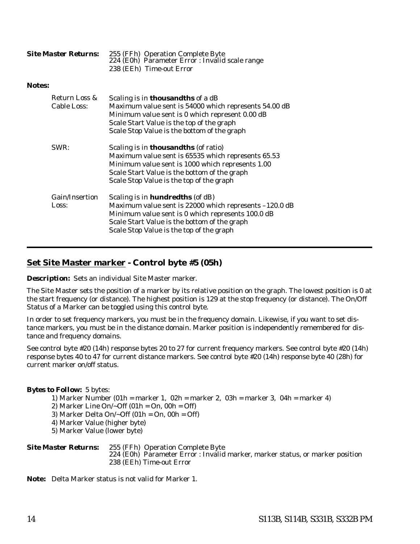<span id="page-19-0"></span>

| 255 (FFh) Operation Complete Byte<br>224 (E0h) Parameter Error : Invalid scale range<br>238 (EEh) Time-out Error                                                                                                                                   |  |
|----------------------------------------------------------------------------------------------------------------------------------------------------------------------------------------------------------------------------------------------------|--|
|                                                                                                                                                                                                                                                    |  |
| Scaling is in <b>thousandths</b> of a dB<br>Maximum value sent is 54000 which represents 54.00 dB<br>Minimum value sent is 0 which represent 0.00 dB<br>Scale Start Value is the top of the graph<br>Scale Stop Value is the bottom of the graph   |  |
| Scaling is in <b>thousandths</b> (of ratio)<br>Maximum value sent is 65535 which represents 65.53<br>Minimum value sent is 1000 which represents 1.00<br>Scale Start Value is the bottom of the graph<br>Scale Stop Value is the top of the graph  |  |
| Scaling is in <b>hundredths</b> (of dB)<br>Maximum value sent is 22000 which represents -120.0 dB<br>Minimum value sent is 0 which represents 100.0 dB<br>Scale Start Value is the bottom of the graph<br>Scale Stop Value is the top of the graph |  |
|                                                                                                                                                                                                                                                    |  |

# **Set Site Master marker - Control byte #5 (05h)**

*Description:* Sets an individual Site Master marker.

The Site Master sets the position of a marker by its relative position on the graph. The lowest position is 0 at the start frequency (or distance). The highest position is 129 at the stop frequency (or distance). The On/Off Status of a Marker can be toggled using this control byte.

In order to set frequency markers, you must be in the frequency domain. Likewise, if you want to set distance markers, you must be in the distance domain. Marker position is independently remembered for distance and frequency domains.

See control byte #20 (14h) response bytes 20 to 27 for current frequency markers. See control byte #20 (14h) response bytes 40 to 47 for current distance markers. See control byte #20 (14h) response byte 40 (28h) for current marker on/off status.

#### *Bytes to Follow:* 5 bytes:

- 1) Marker Number (01h = marker 1, 02h = marker 2, 03h = marker 3, 04h = marker 4)
- 2) Marker Line  $On/-Off$  (01h = On, 00h = Off)
- 3) Marker Delta On/~Off (01h = On, 00h = Off)
- 4) Marker Value (higher byte)
- 5) Marker Value (lower byte)

#### *Site Master Returns:* 255 (FFh) Operation Complete Byte 224 (E0h) Parameter Error : Invalid marker, marker status, or marker position 238 (EEh) Time-out Error

**Note:** Delta Marker status is not valid for Marker 1.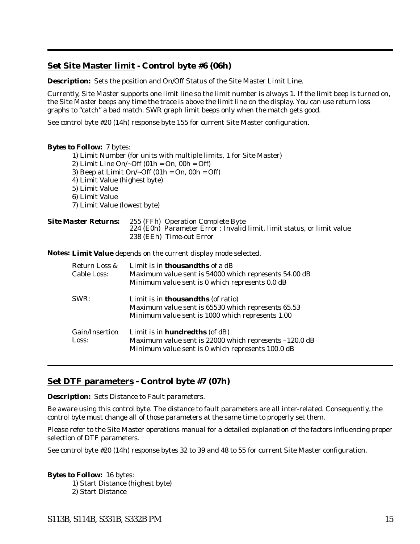# <span id="page-20-0"></span>**Set Site Master limit - Control byte #6 (06h)**

*Description:* Sets the position and On/Off Status of the Site Master Limit Line.

Currently, Site Master supports one limit line so the limit number is always 1. If the limit beep is turned on, the Site Master beeps any time the trace is above the limit line on the display. You can use return loss graphs to "catch" a bad match. SWR graph limit beeps only when the match gets good.

See control byte #20 (14h) response byte 155 for current Site Master configuration.

#### *Bytes to Follow:* 7 bytes:

1) Limit Number (for units with multiple limits, 1 for Site Master) 2) Limit Line  $On/-Off$  (01h = On, 00h = Off) 3) Beep at Limit  $On/-Off$  (01h = On, 00h = Off) 4) Limit Value (highest byte) 5) Limit Value 6) Limit Value 7) Limit Value (lowest byte)

# 224 (E0h) Parameter Error : Invalid limit, limit status, or limit value 238 (EEh) Time-out Error

**Notes: Limit Value** depends on the current display mode selected.

*Site Master Returns:* 255 (FFh) Operation Complete Byte

| Return Loss &<br>Cable Loss: | Limit is in <b>thousandths</b> of a dB<br>Maximum value sent is 54000 which represents 54.00 dB<br>Minimum value sent is 0 which represents 0.0 dB      |
|------------------------------|---------------------------------------------------------------------------------------------------------------------------------------------------------|
| SWR:                         | Limit is in <b>thousandths</b> (of ratio)<br>Maximum value sent is 65530 which represents 65.53<br>Minimum value sent is 1000 which represents 1.00     |
| Gain/Insertion<br>Loss:      | Limit is in <b>hundredths</b> (of $dB$ )<br>Maximum value sent is 22000 which represents -120.0 dB<br>Minimum value sent is 0 which represents 100.0 dB |

# **Set DTF parameters - Control byte #7 (07h)**

*Description:* Sets Distance to Fault parameters.

Be aware using this control byte. The distance to fault parameters are all inter-related. Consequently, the control byte must change all of those parameters at the same time to properly set them.

Please refer to the Site Master operations manual for a detailed explanation of the factors influencing proper selection of DTF parameters.

See control byte #20 (14h) response bytes 32 to 39 and 48 to 55 for current Site Master configuration.

#### *Bytes to Follow:* 16 bytes:

1) Start Distance (highest byte) 2) Start Distance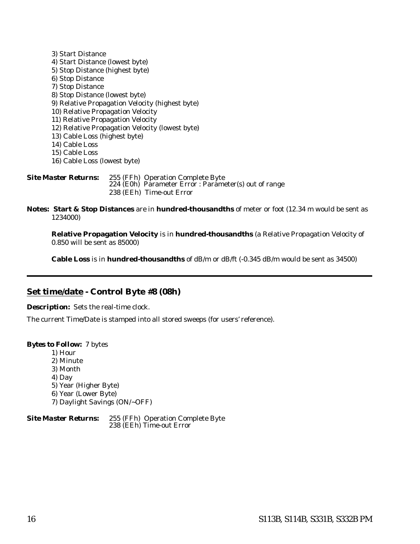<span id="page-21-0"></span>3) Start Distance 4) Start Distance (lowest byte) 5) Stop Distance (highest byte) 6) Stop Distance 7) Stop Distance 8) Stop Distance (lowest byte) 9) Relative Propagation Velocity (highest byte) 10) Relative Propagation Velocity 11) Relative Propagation Velocity 12) Relative Propagation Velocity (lowest byte) 13) Cable Loss (highest byte) 14) Cable Loss 15) Cable Loss 16) Cable Loss (lowest byte)

| <i><b>Site Master Returns:</b></i> | 255 (FFh) Operation Complete Byte                     |
|------------------------------------|-------------------------------------------------------|
|                                    | 224 (E0h) Parameter Error : Parameter(s) out of range |
|                                    | 238 (EEh) Time-out Error                              |

**Notes: Start & Stop Distances** are in **hundred-thousandths** of meter or foot (12.34 m would be sent as 1234000)

**Relative Propagation Velocity** is in **hundred-thousandths** (a Relative Propagation Velocity of 0.850 will be sent as 85000)

**Cable Loss** is in **hundred-thousandths** of dB/m or dB/ft (-0.345 dB/m would be sent as 34500)

# **Set time/date - Control Byte #8 (08h)**

*Description:* Sets the real-time clock.

The current Time/Date is stamped into all stored sweeps (for users' reference).

#### *Bytes to Follow:* 7 bytes

1) Hour 2) Minute 3) Month 4) Day 5) Year (Higher Byte) 6) Year (Lower Byte) 7) Daylight Savings (ON/~OFF)

*Site Master Returns:* 255 (FFh) Operation Complete Byte 238 (EEh) Time-out Error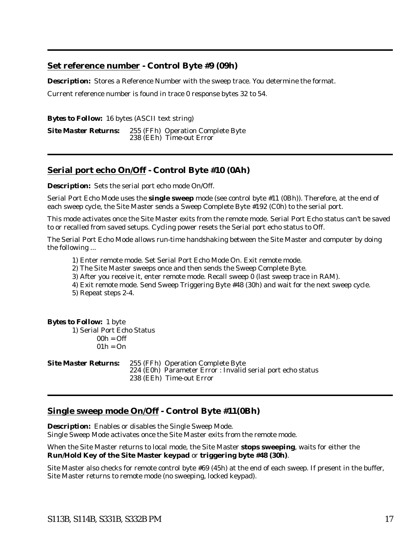# <span id="page-22-0"></span>**Set reference number - Control Byte #9 (09h)**

*Description:* Stores a Reference Number with the sweep trace. You determine the format.

Current reference number is found in trace 0 response bytes 32 to 54.

*Bytes to Follow:* 16 bytes (ASCII text string)

*Site Master Returns:* 255 (FFh) Operation Complete Byte 238 (EEh) Time-out Error

# **Serial port echo On/Off - Control Byte #10 (0Ah)**

*Description:* Sets the serial port echo mode On/Off.

Serial Port Echo Mode uses the **single sweep** mode (see control byte #11 (0Bh)). Therefore, at the end of each sweep cycle, the Site Master sends a Sweep Complete Byte #192 (C0h) to the serial port.

This mode activates once the Site Master exits from the remote mode. Serial Port Echo status can't be saved to or recalled from saved setups. Cycling power resets the Serial port echo status to Off.

The Serial Port Echo Mode allows run-time handshaking between the Site Master and computer by doing the following ...

- 1) Enter remote mode. Set Serial Port Echo Mode On. Exit remote mode.
- 2) The Site Master sweeps once and then sends the Sweep Complete Byte.
- 3) After you receive it, enter remote mode. Recall sweep 0 (last sweep trace in RAM).
- 4) Exit remote mode. Send Sweep Triggering Byte #48 (30h) and wait for the next sweep cycle.
- 5) Repeat steps 2-4.

*Bytes to Follow:* 1 byte

1) Serial Port Echo Status  $00h =$ Off

 $01h = On$ 

| <i><b>Site Master Returns:</b></i> | 255 (FFh) Operation Complete Byte<br>224 (E0h) Parameter Error : Invalid serial port echo status |
|------------------------------------|--------------------------------------------------------------------------------------------------|
|                                    | 238 (EEh) Time-out Error                                                                         |

# **Single sweep mode On/Off - Control Byte #11(0Bh)**

*Description:* Enables or disables the Single Sweep Mode. Single Sweep Mode activates once the Site Master exits from the remote mode.

When the Site Master returns to local mode, the Site Master **stops sweeping**, waits for either the **Run/Hold Key of the Site Master keypad** or **triggering byte #48 (30h)**.

Site Master also checks for remote control byte #69 (45h) at the end of each sweep. If present in the buffer, Site Master returns to remote mode (no sweeping, locked keypad).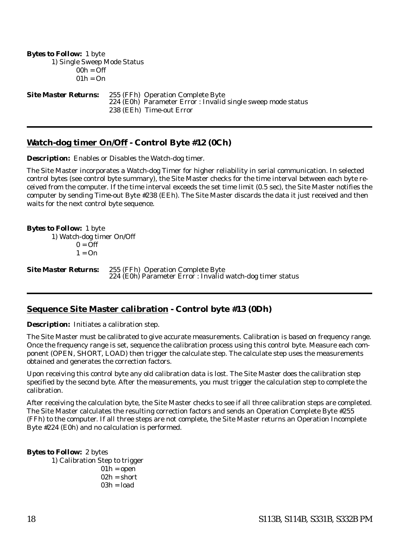<span id="page-23-0"></span>*Bytes to Follow:* 1 byte 1) Single Sweep Mode Status  $00h = Off$  $01h = On$ *Site Master Returns:* 255 (FFh) Operation Complete Byte 224 (E0h) Parameter Error : Invalid single sweep mode status 238 (EEh) Time-out Error

# **Watch-dog timer On/Off - Control Byte #12 (0Ch)**

*Description:* Enables or Disables the Watch-dog timer.

The Site Master incorporates a Watch-dog Timer for higher reliability in serial communication. In selected control bytes (see control byte summary), the Site Master checks for the time interval between each byte received from the computer. If the time interval exceeds the set time limit (0.5 sec), the Site Master notifies the computer by sending Time-out Byte #238 (EEh). The Site Master discards the data it just received and then waits for the next control byte sequence.

*Bytes to Follow:* 1 byte 1) Watch-dog timer On/Off  $0 = \text{Off}$  $1 = On$ *Site Master Returns:* 255 (FFh) Operation Complete Byte 224 (E0h) Parameter Error : Invalid watch-dog timer status

**Sequence Site Master calibration - Control byte #13 (0Dh)**

*Description:* Initiates a calibration step.

The Site Master must be calibrated to give accurate measurements. Calibration is based on frequency range. Once the frequency range is set, sequence the calibration process using this control byte. Measure each component (OPEN, SHORT, LOAD) then trigger the calculate step. The calculate step uses the measurements obtained and generates the correction factors.

Upon receiving this control byte any old calibration data is lost. The Site Master does the calibration step specified by the second byte. After the measurements, you must trigger the calculation step to complete the calibration.

After receiving the calculation byte, the Site Master checks to see if all three calibration steps are completed. The Site Master calculates the resulting correction factors and sends an Operation Complete Byte #255 (FFh) to the computer. If all three steps are not complete, the Site Master returns an Operation Incomplete Byte #224 (E0h) and no calculation is performed.

```
Bytes to Follow: 2 bytes
       1) Calibration Step to trigger
                      01h = open02h = short03h = load
```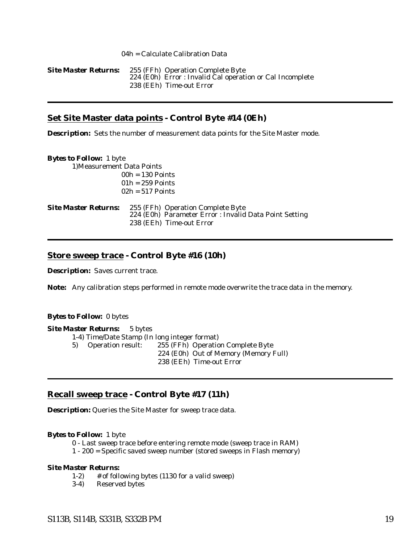04h = Calculate Calibration Data

<span id="page-24-0"></span>

| <b>Site Master Returns:</b> | 255 (FFh) Operation Complete Byte<br>224 (E0h) Error : Invalid Cal operation or Cal Incomplete |
|-----------------------------|------------------------------------------------------------------------------------------------|
|                             | 238 (EEh) Time-out Error                                                                       |

#### **Set Site Master data points - Control Byte #14 (0Eh)**

**Description:** Sets the number of measurement data points for the Site Master mode.

| <b>Bytes to Follow:</b> 1 byte |                                                                                                                         |
|--------------------------------|-------------------------------------------------------------------------------------------------------------------------|
| 1) Measurement Data Points     |                                                                                                                         |
|                                | $00h = 130$ Points                                                                                                      |
|                                | $01h = 259$ Points                                                                                                      |
|                                | $02h = 517$ Points                                                                                                      |
| <b>Site Master Returns:</b>    | 255 (FFh) Operation Complete Byte<br>224 (E0h) Parameter Error : Invalid Data Point Setting<br>238 (EEh) Time-out Error |

#### **Store sweep trace - Control Byte #16 (10h)**

*Description:* Saves current trace.

**Note:** Any calibration steps performed in remote mode overwrite the trace data in the memory.

#### *Bytes to Follow:* 0 bytes

*Site Master Returns:* 5 bytes 1-4) Time/Date Stamp (In long integer format) 5) Operation result: 255 (FFh) Operation Complete Byte 224 (E0h) Out of Memory (Memory Full) 238 (EEh) Time-out Error

### **Recall sweep trace - Control Byte #17 (11h)**

*Description:* Queries the Site Master for sweep trace data.

#### *Bytes to Follow:* 1 byte

- 0 Last sweep trace before entering remote mode (sweep trace in RAM)
- 1 200 = Specific saved sweep number (stored sweeps in Flash memory)

#### *Site Master Returns:*

- 1-2) # of following bytes (1130 for a valid sweep)
- 3-4) Reserved bytes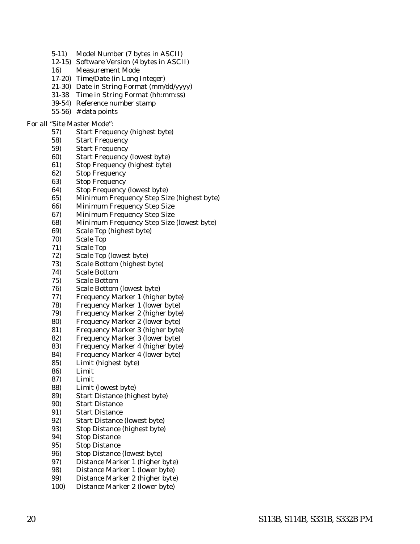- 5-11) Model Number (7 bytes in ASCII)
- 12-15) Software Version (4 bytes in ASCII)
- 16) Measurement Mode
- 17-20) Time/Date (in Long Integer)
- 21-30) Date in String Format (mm/dd/yyyy)
- 31-38 Time in String Format (hh:mm:ss)
- 39-54) Reference number stamp
- 55-56) # data points

#### For all "Site Master Mode":

- 57) Start Frequency (highest byte)
	- 58) Start Frequency
	- 59) Start Frequency
	- 60) Start Frequency (lowest byte)
	- 61) Stop Frequency (highest byte)
	- 62) Stop Frequency
	- 63) Stop Frequency
	- 64) Stop Frequency (lowest byte)
	- 65) Minimum Frequency Step Size (highest byte)
	- 66) Minimum Frequency Step Size
	- 67) Minimum Frequency Step Size
	- 68) Minimum Frequency Step Size (lowest byte)
	- 69) Scale Top (highest byte)
	- 70) Scale Top
	- 71) Scale Top
	- 72) Scale Top (lowest byte)
	- 73) Scale Bottom (highest byte)
	- 74) Scale Bottom
	- 75) Scale Bottom
	- 76) Scale Bottom (lowest byte)
	- 77) Frequency Marker 1 (higher byte)
	- 78) Frequency Marker 1 (lower byte)
	- 79) Frequency Marker 2 (higher byte)
	- 80) Frequency Marker 2 (lower byte)
	- 81) Frequency Marker 3 (higher byte)
	- 82) Frequency Marker 3 (lower byte)
	- 83) Frequency Marker 4 (higher byte)
	- 84) Frequency Marker 4 (lower byte)
	- 85) Limit (highest byte)
	- 86) Limit
	- 87) Limit
	- 88) Limit (lowest byte)
	- 89) Start Distance (highest byte)
	- 90) Start Distance
	- 91) Start Distance
	- 92) Start Distance (lowest byte)
	- 93) Stop Distance (highest byte)
	- 94) Stop Distance
	- 95) Stop Distance
	- 96) Stop Distance (lowest byte)
	- 97) Distance Marker 1 (higher byte)
	- 98) Distance Marker 1 (lower byte)
	- 99) Distance Marker 2 (higher byte)
	- 100) Distance Marker 2 (lower byte)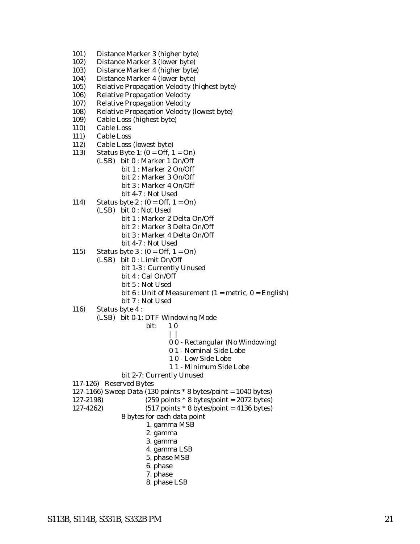- 101) Distance Marker 3 (higher byte)
- 102) Distance Marker 3 (lower byte)
- 103) Distance Marker 4 (higher byte)
- 104) Distance Marker 4 (lower byte)
- 105) Relative Propagation Velocity (highest byte)
- 106) Relative Propagation Velocity
- 107) Relative Propagation Velocity
- 108) Relative Propagation Velocity (lowest byte)
- 109) Cable Loss (highest byte)
- 110) Cable Loss
- 111) Cable Loss
- 112) Cable Loss (lowest byte)
- 113) Status Byte 1: (0 = Off, 1 = On)
	- (LSB) bit 0 : Marker 1 On/Off bit 1 : Marker 2 On/Off bit 2 : Marker 3 On/Off bit 3 : Marker 4 On/Off bit 4-7 : Not Used
- 114) Status byte  $2 : (0 = \text{Off}, 1 = \text{On})$ 
	- (LSB) bit 0 : Not Used bit 1 : Marker 2 Delta On/Off bit 2 : Marker 3 Delta On/Off
		- bit 3 : Marker 4 Delta On/Off
		- bit 4-7 : Not Used
- 115) Status byte  $3: (0 = \text{Off}, 1 = \text{On})$ 
	- (LSB) bit 0 : Limit On/Off
		- bit 1-3 : Currently Unused
		- bit 4 : Cal On/Off
		- bit 5 : Not Used
		- bit  $6$ : Unit of Measurement (1 = metric, 0 = English)
		- bit 7 : Not Used
- 116) Status byte 4 :
	- (LSB) bit 0-1: DTF Windowing Mode
		- bit: 1 0
			- | |
			- 0 0 Rectangular (No Windowing)
			- 0 1 Nominal Side Lobe
			- 1 0 Low Side Lobe
			- 1 1 Minimum Side Lobe
		- bit 2-7: Currently Unused
- 117-126) Reserved Bytes
- 127-1166) Sweep Data (130 points  $*$  8 bytes/point = 1040 bytes)
- 127-2198) (259 points \* 8 bytes/point = 2072 bytes)
- 127-4262) (517 points \* 8 bytes/point = 4136 bytes)
	- 8 bytes for each data point
		- 1. gamma MSB
		- 2. gamma
		- 3. gamma
		- 4. gamma LSB
		- 5. phase MSB
		- 6. phase
		- 7. phase
		- 8. phase LSB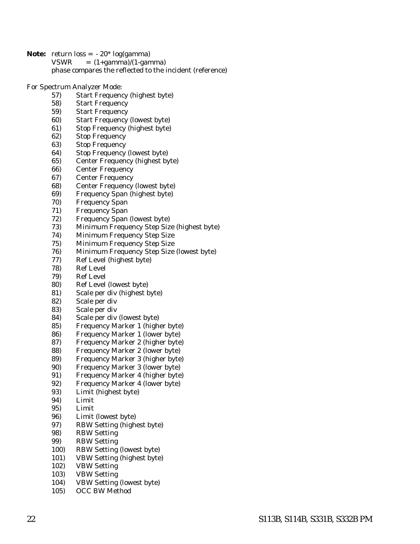**Note:** return loss = - 20\* log(gamma)  $VSWR = (1+gamma)/(1-gamma)$ phase compares the reflected to the incident (reference)

For Spectrum Analyzer Mode:

- 57) Start Frequency (highest byte)
- 58) Start Frequency
- 59) Start Frequency
- 60) Start Frequency (lowest byte)
- 61) Stop Frequency (highest byte)
- 62) Stop Frequency
- 63) Stop Frequency
- 64) Stop Frequency (lowest byte)
- 65) Center Frequency (highest byte)
- 66) Center Frequency
- 67) Center Frequency
- 68) Center Frequency (lowest byte)
- 69) Frequency Span (highest byte)
- 70) Frequency Span
- 71) Frequency Span
- 72) Frequency Span (lowest byte)
- 73) Minimum Frequency Step Size (highest byte)
- **Minimum Frequency Step Size**
- 75) Minimum Frequency Step Size
- 76) Minimum Frequency Step Size (lowest byte)
- 77) Ref Level (highest byte)
- 78) Ref Level
- 79) Ref Level
- 80) Ref Level (lowest byte)
- 81) Scale per div (highest byte)
- 82) Scale per div
- 83) Scale per div
- 84) Scale per div (lowest byte)
- 85) Frequency Marker 1 (higher byte)
- 86) Frequency Marker 1 (lower byte)
- 87) Frequency Marker 2 (higher byte)
- 88) Frequency Marker 2 (lower byte)
- 89) Frequency Marker 3 (higher byte)
- 90) Frequency Marker 3 (lower byte)
- 91) Frequency Marker 4 (higher byte)
- 92) Frequency Marker 4 (lower byte)
- 93) Limit (highest byte)
- 94) Limit
- 95) Limit
- 96) Limit (lowest byte)
- 97) RBW Setting (highest byte)
- 98) RBW Setting
- 99) RBW Setting
- 100) RBW Setting (lowest byte)
- 101) VBW Setting (highest byte)
- 102) VBW Setting
- 103) VBW Setting
- 104) VBW Setting (lowest byte)
- 105) OCC BW Method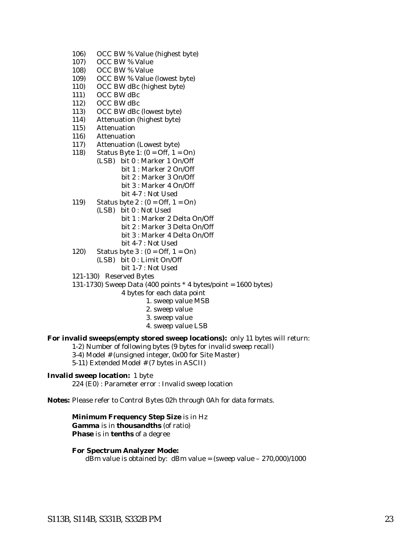- 106) OCC BW % Value (highest byte)
- 107) OCC BW % Value
- 108) OCC BW % Value
- 109) OCC BW % Value (lowest byte)
- 110) OCC BW dBc (highest byte)
- 111) OCC BW dBc
- 112) OCC BW dBc
- 113) OCC BW dBc (lowest byte)
- 114) Attenuation (highest byte)
- 115) Attenuation
- 116) Attenuation
- 117) Attenuation (Lowest byte)
- 118) Status Byte 1: (0 = Off, 1 = On)
	- (LSB) bit 0 : Marker 1 On/Off bit 1 : Marker 2 On/Off bit 2 : Marker 3 On/Off bit 3 : Marker 4 On/Off bit 4-7 : Not Used
- 119) Status byte  $2:(0 = \text{Off}, 1 = \text{On})$ 
	- (LSB) bit 0 : Not Used
		- bit 1 : Marker 2 Delta On/Off
		- bit 2 : Marker 3 Delta On/Off
		- bit 3 : Marker 4 Delta On/Off
		- bit 4-7 : Not Used
- 120) Status byte  $3: (0 = \text{Off}, 1 = \text{On})$ (LSB) bit 0 : Limit On/Off
	- bit 1-7 : Not Used
- 121-130) Reserved Bytes

131-1730) Sweep Data (400 points  $*$  4 bytes/point = 1600 bytes)

- 4 bytes for each data point
	- 1. sweep value MSB
	- 2. sweep value
	- 3. sweep value
	- 4. sweep value LSB

#### **For invalid sweeps(empty stored sweep locations):** only 11 bytes will return:

- 1-2) Number of following bytes (9 bytes for invalid sweep recall)
- 3-4) Model # (unsigned integer, 0x00 for Site Master)
- 5-11) Extended Model # (7 bytes in ASCII)

#### **Invalid sweep location:** 1 byte

224 (E0) : Parameter error : Invalid sweep location

**Notes:** Please refer to Control Bytes 02h through 0Ah for data formats.

#### **Minimum Frequency Step Size** is in Hz

**Gamma** is in **thousandths** (of ratio)

**Phase** is in **tenths** of a degree

#### **For Spectrum Analyzer Mode:**

dBm value is obtained by: dBm value = (sweep value  $-270,000$ )/1000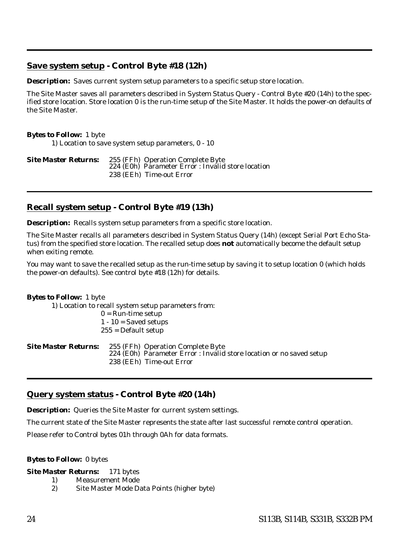# <span id="page-29-0"></span>**Save system setup - Control Byte #18 (12h)**

**Description:** Saves current system setup parameters to a specific setup store location.

The Site Master saves all parameters described in System Status Query - Control Byte #20 (14h) to the specified store location. Store location 0 is the run-time setup of the Site Master. It holds the power-on defaults of the Site Master.

#### *Bytes to Follow:* 1 byte

1) Location to save system setup parameters, 0 - 10

*Site Master Returns:* 255 (FFh) Operation Complete Byte 224 (E0h) Parameter Error : Invalid store location 238 (EEh) Time-out Error

# **Recall system setup - Control Byte #19 (13h)**

*Description:* Recalls system setup parameters from a specific store location.

The Site Master recalls all parameters described in System Status Query (14h) (except Serial Port Echo Status) from the specified store location. The recalled setup does **not** automatically become the default setup when exiting remote.

You may want to save the recalled setup as the run-time setup by saving it to setup location 0 (which holds the power-on defaults). See control byte #18 (12h) for details.

#### *Bytes to Follow:* 1 byte

1) Location to recall system setup parameters from:

 $0 =$  Run-time setup  $1 - 10 =$  Saved setups 255 = Default setup

*Site Master Returns:* 255 (FFh) Operation Complete Byte 224 (E0h) Parameter Error : Invalid store location or no saved setup 238 (EEh) Time-out Error

#### **Query system status - Control Byte #20 (14h)**

*Description:* Queries the Site Master for current system settings.

The current state of the Site Master represents the state after last successful remote control operation.

Please refer to Control bytes 01h through 0Ah for data formats.

#### *Bytes to Follow:* 0 bytes

#### *Site Master Returns:* 171 bytes

- 1) Measurement Mode
- 2) Site Master Mode Data Points (higher byte)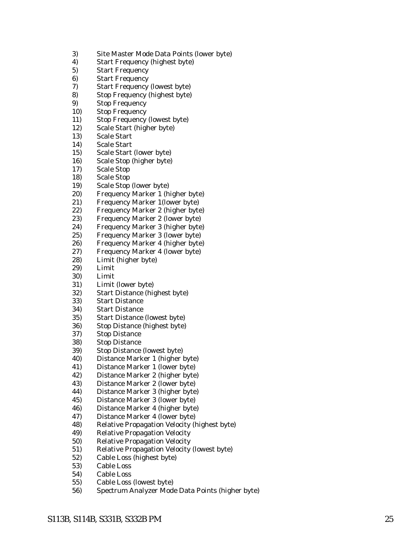- 3) Site Master Mode Data Points (lower byte)
- 4) Start Frequency (highest byte)
- 5) Start Frequency
- 6) Start Frequency<br>
7) Start Frequency
- **Start Frequency (lowest byte)**
- 8) Stop Frequency (highest byte)
- 9) Stop Frequency
- 10) Stop Frequency
- 11) Stop Frequency (lowest byte)
- 12) Scale Start (higher byte)
- 13) Scale Start
- 14) Scale Start
- 15) Scale Start (lower byte)
- 16) Scale Stop (higher byte)
- 17) Scale Stop
- 18) Scale Stop
- 19) Scale Stop (lower byte)
- 20) Frequency Marker 1 (higher byte)
- 21) Frequency Marker 1(lower byte)
- 22) Frequency Marker 2 (higher byte)
- 23) Frequency Marker 2 (lower byte)
- 24) Frequency Marker 3 (higher byte)
- 25) Frequency Marker 3 (lower byte)
- 26) Frequency Marker 4 (higher byte)
- 27) Frequency Marker 4 (lower byte)
- 28) Limit (higher byte)
- Limit
- 30) Limit
- 31) Limit (lower byte)
- 32) Start Distance (highest byte)
- 33) Start Distance
- 34) Start Distance
- 35) Start Distance (lowest byte)
- 36) Stop Distance (highest byte)
- 37) Stop Distance
- 38) Stop Distance
- 39) Stop Distance (lowest byte)
- 40) Distance Marker 1 (higher byte)
- 41) Distance Marker 1 (lower byte)
- 42) Distance Marker 2 (higher byte)
- 43) Distance Marker 2 (lower byte)
- 44) Distance Marker 3 (higher byte)
- 45) Distance Marker 3 (lower byte)
- 46) Distance Marker 4 (higher byte)
- 47) Distance Marker 4 (lower byte)
- 48) Relative Propagation Velocity (highest byte)
- 49) Relative Propagation Velocity
- 50) Relative Propagation Velocity
- 51) Relative Propagation Velocity (lowest byte)
- 52) Cable Loss (highest byte)
- 53) Cable Loss
- 54) Cable Loss
- 55) Cable Loss (lowest byte)
- 56) Spectrum Analyzer Mode Data Points (higher byte)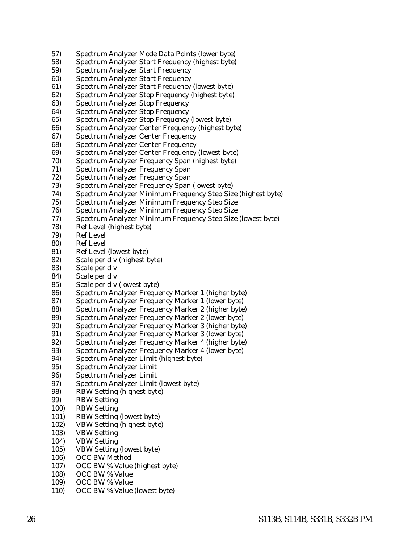- 57) Spectrum Analyzer Mode Data Points (lower byte)
- 58) Spectrum Analyzer Start Frequency (highest byte)
- 59) Spectrum Analyzer Start Frequency
- 60) Spectrum Analyzer Start Frequency
- 61) Spectrum Analyzer Start Frequency (lowest byte)
- 62) Spectrum Analyzer Stop Frequency (highest byte)
- 63) Spectrum Analyzer Stop Frequency
- 64) Spectrum Analyzer Stop Frequency
- 65) Spectrum Analyzer Stop Frequency (lowest byte)
- 66) Spectrum Analyzer Center Frequency (highest byte)
- 67) Spectrum Analyzer Center Frequency
- 68) Spectrum Analyzer Center Frequency
- 69) Spectrum Analyzer Center Frequency (lowest byte)
- 70) Spectrum Analyzer Frequency Span (highest byte)
- 71) Spectrum Analyzer Frequency Span<br>72) Spectrum Analyzer Frequency Span
- **Spectrum Analyzer Frequency Span**
- 73) Spectrum Analyzer Frequency Span (lowest byte)
- 74) Spectrum Analyzer Minimum Frequency Step Size (highest byte)
- 75) Spectrum Analyzer Minimum Frequency Step Size
- 76) Spectrum Analyzer Minimum Frequency Step Size
- 77) Spectrum Analyzer Minimum Frequency Step Size (lowest byte)
- 78) Ref Level (highest byte)
- Ref Level
- 80) Ref Level
- 81) Ref Level (lowest byte)
- 82) Scale per div (highest byte)
- 83) Scale per div
- 84) Scale per div
- 85) Scale per div (lowest byte)
- 86) Spectrum Analyzer Frequency Marker 1 (higher byte)
- 87) Spectrum Analyzer Frequency Marker 1 (lower byte)
- 88) Spectrum Analyzer Frequency Marker 2 (higher byte)
- 89) Spectrum Analyzer Frequency Marker 2 (lower byte)
- 90) Spectrum Analyzer Frequency Marker 3 (higher byte)
- 91) Spectrum Analyzer Frequency Marker 3 (lower byte)
- 92) Spectrum Analyzer Frequency Marker 4 (higher byte)
- 93) Spectrum Analyzer Frequency Marker 4 (lower byte)
- 94) Spectrum Analyzer Limit (highest byte)
- 95) Spectrum Analyzer Limit
- 96) Spectrum Analyzer Limit
- 97) Spectrum Analyzer Limit (lowest byte)
- 98) RBW Setting (highest byte)
- 99) RBW Setting
- 100) RBW Setting
- 101) RBW Setting (lowest byte)
- 102) VBW Setting (highest byte)
- 103) VBW Setting
- 104) VBW Setting
- 105) VBW Setting (lowest byte)
- 106) OCC BW Method
- 107) OCC BW % Value (highest byte)
- 108) OCC BW % Value
- 109) OCC BW % Value
- 110) OCC BW % Value (lowest byte)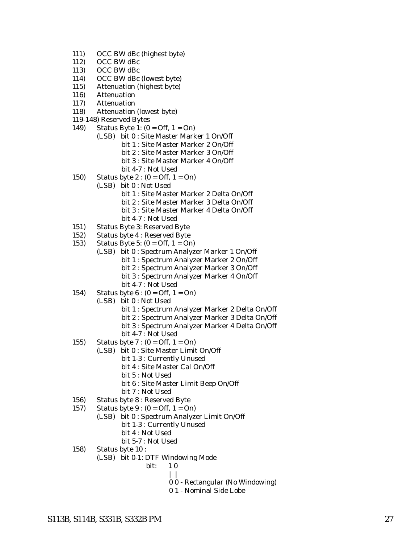- 111) OCC BW dBc (highest byte)
- 112) OCC BW dBc
- 113) OCC BW dBc
- 114) OCC BW dBc (lowest byte)
- 115) Attenuation (highest byte)
- 116) Attenuation
- 117) Attenuation
- 118) Attenuation (lowest byte)
- 119-148) Reserved Bytes
- 149) Status Byte 1: (0 = Off, 1 = On)
	- (LSB) bit 0 : Site Master Marker 1 On/Off bit 1 : Site Master Marker 2 On/Off bit 2 : Site Master Marker 3 On/Off bit 3 : Site Master Marker 4 On/Off bit 4-7 : Not Used
- 150) Status byte  $2:(0 = \text{Off}, 1 = \text{On})$ 
	- (LSB) bit 0 : Not Used bit 1 : Site Master Marker 2 Delta On/Off bit 2 : Site Master Marker 3 Delta On/Off bit 3 : Site Master Marker 4 Delta On/Off bit 4-7 : Not Used
- 
- 151) Status Byte 3: Reserved Byte<br>152) Status byte 4: Reserved Byte Status byte 4 : Reserved Byte
- 153) Status Byte 5: (0 = Off, 1 = On)
	- (LSB) bit 0 : Spectrum Analyzer Marker 1 On/Off bit 1 : Spectrum Analyzer Marker 2 On/Off bit 2 : Spectrum Analyzer Marker 3 On/Off bit 3 : Spectrum Analyzer Marker 4 On/Off bit 4-7 : Not Used
- 154) Status byte  $6: (0 = \text{Off}, 1 = \text{On})$ 
	- (LSB) bit 0 : Not Used
		- bit 1 : Spectrum Analyzer Marker 2 Delta On/Off
		- bit 2 : Spectrum Analyzer Marker 3 Delta On/Off
		- bit 3 : Spectrum Analyzer Marker 4 Delta On/Off
		- bit 4-7 : Not Used
- 155) Status byte  $7: (0 = \text{Off}, 1 = \text{On})$ 
	- (LSB) bit 0 : Site Master Limit On/Off bit 1-3 : Currently Unused
		- bit 4 : Site Master Cal On/Off
		- bit 5 : Not Used
		- bit 6 : Site Master Limit Beep On/Off
		- bit 7 : Not Used
- 156) Status byte 8 : Reserved Byte
- 157) Status byte  $9: (0 = \text{Off}, 1 = \text{On})$ 
	- (LSB) bit 0 : Spectrum Analyzer Limit On/Off bit 1-3 : Currently Unused bit 4 : Not Used bit 5-7 : Not Used
- 158) Status byte 10 :
	- (LSB) bit 0-1: DTF Windowing Mode
		- bit: 10
			- | |
				- 0 0 Rectangular (No Windowing)
				- 0 1 Nominal Side Lobe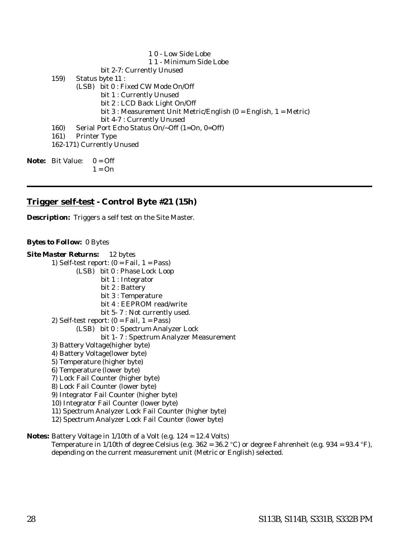<span id="page-33-0"></span>

|    |      | 10 - Low Side Lobe                                                |
|----|------|-------------------------------------------------------------------|
|    |      | 11 - Minimum Side Lobe                                            |
|    |      | bit 2-7: Currently Unused                                         |
|    | 159) | Status byte 11 :                                                  |
|    |      | (LSB) bit 0 : Fixed CW Mode On/Off                                |
|    |      | bit 1: Currently Unused                                           |
|    |      | bit 2 : LCD Back Light On/Off                                     |
|    |      | bit 3 : Measurement Unit Metric/English (0 = English, 1 = Metric) |
|    |      | bit 4-7 : Currently Unused                                        |
|    | 160) | Serial Port Echo Status On/~Off (1=On, 0=Off)                     |
|    | 161) | <b>Printer Type</b>                                               |
|    |      | 162-171) Currently Unused                                         |
|    |      |                                                                   |
| ∩. |      | $Rit$ Value $0 - Qff$                                             |

**Note:** Bit Value:  $0 = \text{O}$  $1 = On$ 

# **Trigger self-test - Control Byte #21 (15h)**

*Description:* Triggers a self test on the Site Master.

#### *Bytes to Follow:* 0 Bytes

```
Site Master Returns: 12 bytes
        1) Self-test report: (0 = \text{fail}, 1 = \text{Pass})(LSB) bit 0 : Phase Lock Loop
                       bit 1 : Integrator
                       bit 2 : Battery
                       bit 3 : Temperature
                       bit 4 : EEPROM read/write
                       bit 5- 7 : Not currently used.
        2) Self-test report: (0 = \text{Fall}, 1 = \text{Pass})(LSB) bit 0 : Spectrum Analyzer Lock
                       bit 1- 7 : Spectrum Analyzer Measurement
        3) Battery Voltage(higher byte)
        4) Battery Voltage(lower byte)
        5) Temperature (higher byte)
       6) Temperature (lower byte)
        7) Lock Fail Counter (higher byte)
       8) Lock Fail Counter (lower byte)
       9) Integrator Fail Counter (higher byte)
        10) Integrator Fail Counter (lower byte)
        11) Spectrum Analyzer Lock Fail Counter (higher byte)
        12) Spectrum Analyzer Lock Fail Counter (lower byte)
```
**Notes:** Battery Voltage in 1/10th of a Volt (e.g. 124 = 12.4 Volts) Temperature in 1/10th of degree Celsius (e.g. 362 = 36.2 °C) or degree Fahrenheit (e.g. 934 = 93.4 °F), depending on the current measurement unit (Metric or English) selected.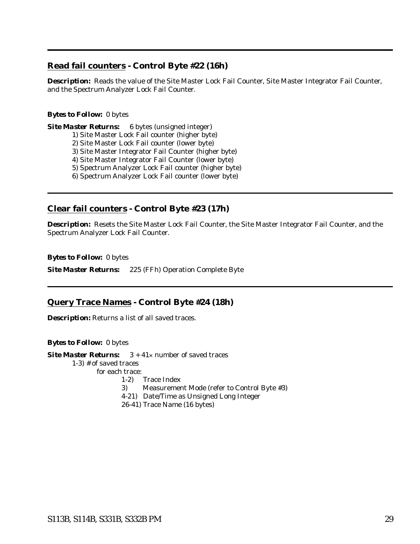# <span id="page-34-0"></span>**Read fail counters - Control Byte #22 (16h)**

*Description:* Reads the value of the Site Master Lock Fail Counter, Site Master Integrator Fail Counter, and the Spectrum Analyzer Lock Fail Counter.

#### *Bytes to Follow:* 0 bytes

*Site Master Returns:* 6 bytes (unsigned integer)

1) Site Master Lock Fail counter (higher byte)

2) Site Master Lock Fail counter (lower byte)

3) Site Master Integrator Fail Counter (higher byte)

4) Site Master Integrator Fail Counter (lower byte)

5) Spectrum Analyzer Lock Fail counter (higher byte)

6) Spectrum Analyzer Lock Fail counter (lower byte)

#### **Clear fail counters - Control Byte #23 (17h)**

*Description:* Resets the Site Master Lock Fail Counter, the Site Master Integrator Fail Counter, and the Spectrum Analyzer Lock Fail Counter.

#### *Bytes to Follow:* 0 bytes

*Site Master Returns:* 225 (FFh) Operation Complete Byte

#### **Query Trace Names - Control Byte #24 (18h)**

*Description:* Returns a list of all saved traces.

*Bytes to Follow:* 0 bytes

**Site Master Returns:** 3 + 41x number of saved traces 1-3) # of saved traces

for each trace:

#### 1-2) Trace Index

3) Measurement Mode (refer to Control Byte #3)

4-21) Date/Time as Unsigned Long Integer

26-41) Trace Name (16 bytes)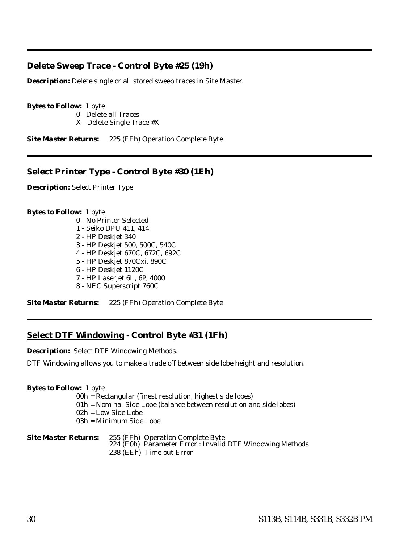# <span id="page-35-0"></span>**Delete Sweep Trace - Control Byte #25 (19h)**

**Description:** Delete single or all stored sweep traces in Site Master.

*Bytes to Follow:* 1 byte

0 - Delete all Traces

X - Delete Single Trace #X

*Site Master Returns:* 225 (FFh) Operation Complete Byte

# **Select Printer Type - Control Byte #30 (1Eh)**

*Description:* Select Printer Type

#### *Bytes to Follow:* 1 byte

0 - No Printer Selected 1 - Seiko DPU 411, 414 2 - HP Deskjet 340 3 - HP Deskjet 500, 500C, 540C 4 - HP Deskjet 670C, 672C, 692C 5 - HP Deskjet 870Cxi, 890C 6 - HP Deskjet 1120C 7 - HP Laserjet 6L, 6P, 4000 8 - NEC Superscript 760C

*Site Master Returns:* 225 (FFh) Operation Complete Byte

# **Select DTF Windowing - Control Byte #31 (1Fh)**

*Description:* Select DTF Windowing Methods.

DTF Windowing allows you to make a trade off between side lobe height and resolution.

#### *Bytes to Follow:* 1 byte

00h = Rectangular (finest resolution, highest side lobes) 01h = Nominal Side Lobe (balance between resolution and side lobes) 02h = Low Side Lobe 03h = Minimum Side Lobe

#### *Site Master Returns:* 255 (FFh) Operation Complete Byte 224 (E0h) Parameter Error : Invalid DTF Windowing Methods 238 (EEh) Time-out Error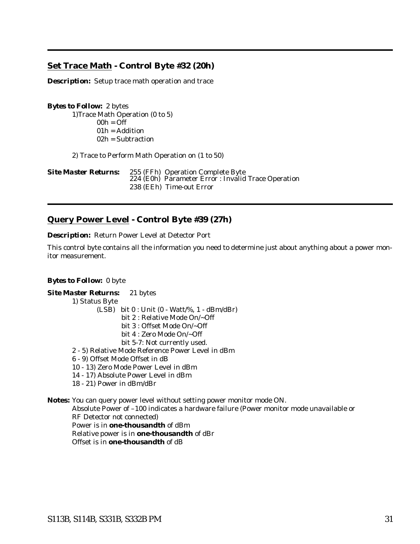# <span id="page-36-0"></span>**Set Trace Math - Control Byte #32 (20h)**

*Description:* Setup trace math operation and trace

*Bytes to Follow:* 2 bytes 1)Trace Math Operation (0 to 5)  $00h = \text{Off}$ 01h = Addition 02h = Subtraction

2) Trace to Perform Math Operation on (1 to 50)

| <b>Site Master Returns:</b> | 255 (FFh)  Operation Complete Byte<br>224 (E0h)  Parameter Error : Invalid Trace Operation |
|-----------------------------|--------------------------------------------------------------------------------------------|
|                             | 238 (EEh) Time-out Error                                                                   |

# **Query Power Level - Control Byte #39 (27h)**

*Description:* Return Power Level at Detector Port

This control byte contains all the information you need to determine just about anything about a power monitor measurement.

#### *Bytes to Follow:* 0 byte

| <b>Site Master Returns:</b><br>21 bytes                                        |
|--------------------------------------------------------------------------------|
| 1) Status Byte                                                                 |
| bit $0:$ Unit $(0 - \text{Watt}/\% , 1 - \text{dBm}/\text{dBr})$<br>(LSB)      |
| bit 2 : Relative Mode On/~Off                                                  |
| bit 3 : Offset Mode On/~Off                                                    |
| bit 4 : Zero Mode On/~Off                                                      |
| bit 5-7: Not currently used.                                                   |
| 2 - 5) Relative Mode Reference Power Level in dBm                              |
| 6 - 9) Offset Mode Offset in dB                                                |
| 10 - 13) Zero Mode Power Level in dBm                                          |
| 14 - 17) Absolute Power Level in dBm                                           |
| $18 - 21$ ) Power in dBm/dBr                                                   |
| <b>Notes:</b> You can query power level without setting power monitor mode ON. |

Absolute Power of –100 indicates a hardware failure (Power monitor mode unavailable or RF Detector not connected)

Power is in **one-thousandth** of dBm Relative power is in **one-thousandth** of dBr Offset is in **one-thousandth** of dB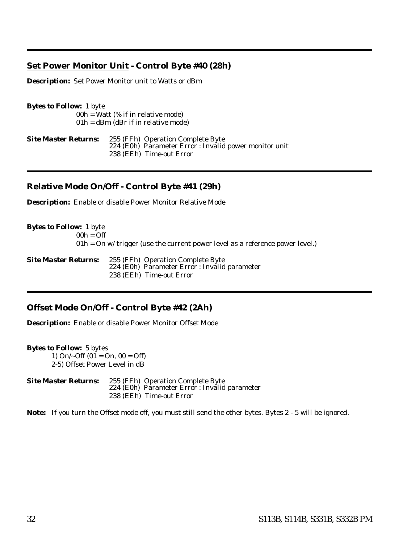# <span id="page-37-0"></span>**Set Power Monitor Unit - Control Byte #40 (28h)**

*Description:* Set Power Monitor unit to Watts or dBm

*Bytes to Follow:* 1 byte 00h = Watt (% if in relative mode) 01h = dBm (dBr if in relative mode)

*Site Master Returns:* 255 (FFh) Operation Complete Byte 224 (E0h) Parameter Error : Invalid power monitor unit 238 (EEh) Time-out Error

# **Relative Mode On/Off - Control Byte #41 (29h)**

*Description:* Enable or disable Power Monitor Relative Mode

*Bytes to Follow:* 1 byte  $00h =$ Off  $01h = On$  w/ trigger (use the current power level as a reference power level.) *Site Master Returns:* 255 (FFh) Operation Complete Byte 224 (E0h) Parameter Error : Invalid parameter 238 (EEh) Time-out Error

# **Offset Mode On/Off - Control Byte #42 (2Ah)**

*Description:* Enable or disable Power Monitor Offset Mode

*Bytes to Follow:* 5 bytes 1)  $On/-Off (01 = On, 00 = Off)$ 2-5) Offset Power Level in dB

*Site Master Returns:* 255 (FFh) Operation Complete Byte 224 (E0h) Parameter Error : Invalid parameter 238 (EEh) Time-out Error

**Note:** If you turn the Offset mode off, you must still send the other bytes. Bytes 2 - 5 will be ignored.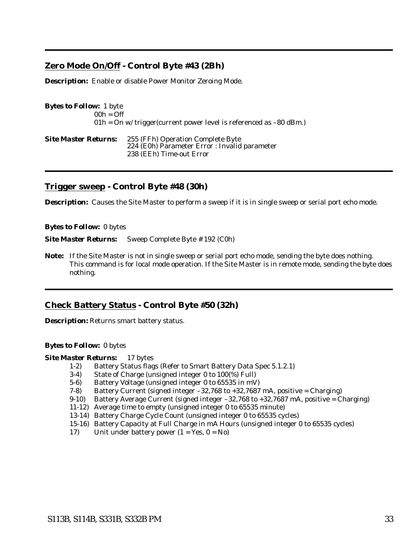# <span id="page-38-0"></span>**Zero Mode On/Off - Control Byte #43 (2Bh)**

*Description:* Enable or disable Power Monitor Zeroing Mode.

| <b>Bytes to Follow:</b> 1 byte |                                                                         |
|--------------------------------|-------------------------------------------------------------------------|
|                                | $00h = Off$                                                             |
|                                | $01h = On$ w/ trigger (current power level is referenced as $-80$ dBm.) |
| -----                          |                                                                         |

| <i><b>Site Master Returns:</b></i> | 255 (FFh) Operation Complete Byte<br>224 (E0h) Parameter Error : Invalid parameter |
|------------------------------------|------------------------------------------------------------------------------------|
|                                    | 238 (EEh) Time-out Error                                                           |

# **Trigger sweep - Control Byte #48 (30h)**

**Description:** Causes the Site Master to perform a sweep if it is in single sweep or serial port echo mode.

#### *Bytes to Follow:* 0 bytes

**Site Master Returns:** Sweep Complete Byte # 192 (C0h)

**Note:** If the Site Master is *not* in single sweep or serial port echo mode, sending the byte does nothing. This command is for local mode operation. If the Site Master is in remote mode, sending the byte does nothing.

# **Check Battery Status - Control Byte #50 (32h)**

*Description:* Returns smart battery status.

#### *Bytes to Follow:* 0 bytes

#### *Site Master Returns:* 17 bytes

- 1-2) Battery Status flags (Refer to Smart Battery Data Spec 5.1.2.1)
- 3-4) State of Charge (unsigned integer 0 to 100(%) Full)
- 5-6) Battery Voltage (unsigned integer 0 to 65535 in mV)
- 7-8) Battery Current (signed integer –32,768 to +32,7687 mA, positive = Charging)
- 9-10) Battery Average Current (signed integer –32,768 to +32,7687 mA, positive = Charging)
- 11-12) Average time to empty (unsigned integer 0 to 65535 minute)
- 13-14) Battery Charge Cycle Count (unsigned integer 0 to 65535 cycles)
- 15-16) Battery Capacity at Full Charge in mA Hours (unsigned integer 0 to 65535 cycles)
- 17) Unit under battery power  $(1 = Yes, 0 = No)$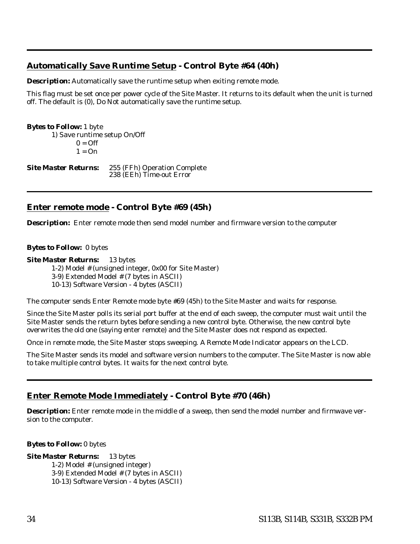# <span id="page-39-0"></span>**Automatically Save Runtime Setup - Control Byte #64 (40h)**

*Description:* Automatically save the runtime setup when exiting remote mode.

This flag must be set once per power cycle of the Site Master. It returns to its default when the unit is turned off. The default is (0), Do Not automatically save the runtime setup.

*Bytes to Follow:* 1 byte 1) Save runtime setup On/Off  $0 = \text{Off}$  $1 = On$ *Site Master Returns:* 255 (FFh) Operation Complete 238 (EEh) Time-out Error

# **Enter remote mode - Control Byte #69 (45h)**

**Description:** Enter remote mode then send model number and firmware version to the computer

#### *Bytes to Follow:* 0 bytes

*Site Master Returns:* 13 bytes

1-2) Model # (unsigned integer, 0x00 for Site Master) 3-9) Extended Model # (7 bytes in ASCII)

10-13) Software Version - 4 bytes (ASCII)

The computer sends Enter Remote mode byte #69 (45h) to the Site Master and waits for response.

Since the Site Master polls its serial port buffer at the end of each sweep, the computer must wait until the Site Master sends the return bytes before sending a new control byte. Otherwise, the new control byte overwrites the old one (saying enter remote) and the Site Master does not respond as expected.

Once in remote mode, the Site Master stops sweeping. A Remote Mode Indicator appears on the LCD.

The Site Master sends its model and software version numbers to the computer. The Site Master is now able to take multiple control bytes. It waits for the next control byte.

# **Enter Remote Mode Immediately - Control Byte #70 (46h)**

*Description:* Enter remote mode in the middle of a sweep, then send the model number and firmwave version to the computer.

#### *Bytes to Follow:* 0 bytes

*Site Master Returns:* 13 bytes 1-2) Model # (unsigned integer) 3-9) Extended Model # (7 bytes in ASCII) 10-13) Software Version - 4 bytes (ASCII)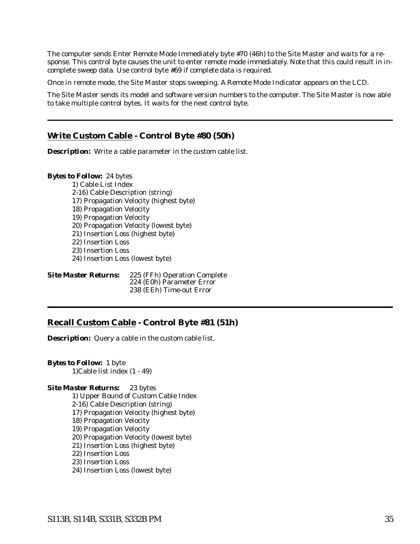<span id="page-40-0"></span>The computer sends Enter Remote Mode Immediately byte #70 (46h) to the Site Master and waits for a response. This control byte causes the unit to enter remote mode immediately. Note that this could result in incomplete sweep data. Use control byte #69 if complete data is required.

Once in remote mode, the Site Master stops sweeping. A Remote Mode Indicator appears on the LCD.

The Site Master sends its model and software version numbers to the computer. The Site Master is now able to take multiple control bytes. It waits for the next control byte.

# **Write Custom Cable - Control Byte #80 (50h)**

*Description:* Write a cable parameter in the custom cable list.

#### *Bytes to Follow:* 24 bytes

1) Cable List Index 2-16) Cable Description (string) 17) Propagation Velocity (highest byte) 18) Propagation Velocity 19) Propagation Velocity 20) Propagation Velocity (lowest byte) 21) Insertion Loss (highest byte) 22) Insertion Loss 23) Insertion Loss 24) Insertion Loss (lowest byte)

| <b>Site Master Returns:</b> | 225 (FFh) Operation Complete |
|-----------------------------|------------------------------|
|                             | 224 (E0h) Parameter Error    |
|                             | 238 (EEh) Time-out Error     |

# **Recall Custom Cable - Control Byte #81 (51h)**

*Description:* Query a cable in the custom cable list.

*Bytes to Follow:* 1 byte 1)Cable list index (1 - 49)

*Site Master Returns:* 23 bytes 1) Upper Bound of Custom Cable Index 2-16) Cable Description (string) 17) Propagation Velocity (highest byte) 18) Propagation Velocity 19) Propagation Velocity 20) Propagation Velocity (lowest byte) 21) Insertion Loss (highest byte) 22) Insertion Loss 23) Insertion Loss 24) Insertion Loss (lowest byte)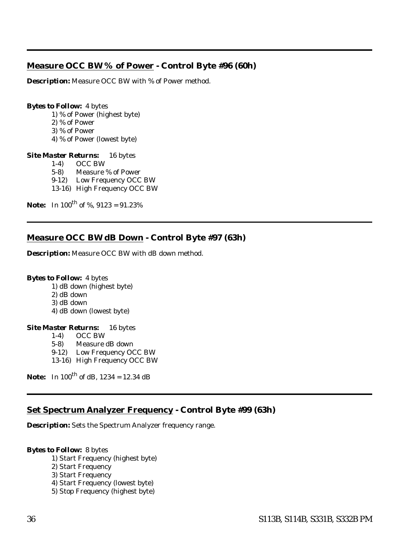# <span id="page-41-0"></span>**Measure OCC BW % of Power - Control Byte #96 (60h)**

*Description:* Measure OCC BW with % of Power method.

#### *Bytes to Follow:* 4 bytes

- 1) % of Power (highest byte)
- 2) % of Power
- 3) % of Power
- 4) % of Power (lowest byte)

#### *Site Master Returns:* 16 bytes

- 1-4) OCC BW
- 5-8) Measure % of Power
- 9-12) Low Frequency OCC BW
- 13-16) High Frequency OCC BW

**Note:** In 100<sup>th</sup> of %, 9123 = 91.23%

# **Measure OCC BW dB Down - Control Byte #97 (63h)**

*Description:* Measure OCC BW with dB down method.

#### *Bytes to Follow:* 4 bytes

1) dB down (highest byte) 2) dB down 3) dB down 4) dB down (lowest byte)

#### *Site Master Returns:* 16 bytes

- 1-4) OCC BW
- 5-8) Measure dB down
- 9-12) Low Frequency OCC BW
- 13-16) High Frequency OCC BW

**Note:** In  $100^{th}$  of dB,  $1234 = 12.34$  dB

# **Set Spectrum Analyzer Frequency - Control Byte #99 (63h)**

*Description:* Sets the Spectrum Analyzer frequency range.

#### *Bytes to Follow:* 8 bytes

- 1) Start Frequency (highest byte)
- 2) Start Frequency
- 3) Start Frequency
- 4) Start Frequency (lowest byte)
- 5) Stop Frequency (highest byte)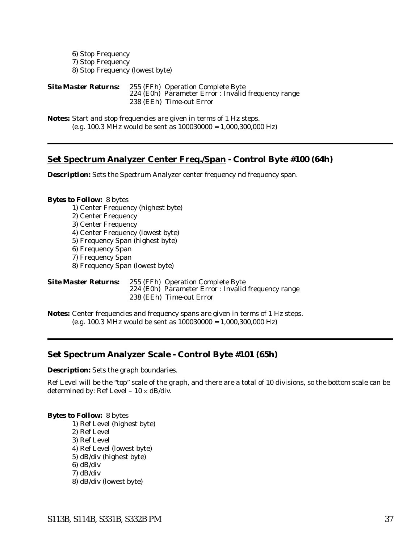<span id="page-42-0"></span>6) Stop Frequency 7) Stop Frequency 8) Stop Frequency (lowest byte)

*Site Master Returns:* 255 (FFh) Operation Complete Byte 224 (E0h) Parameter Error : Invalid frequency range 238 (EEh) Time-out Error

**Notes:** Start and stop frequencies are given in terms of 1 Hz steps. (e.g. 100.3 MHz would be sent as  $100030000 = 1,000,300,000$  Hz)

### **Set Spectrum Analyzer Center Freq./Span - Control Byte #100 (64h)**

**Description:** Sets the Spectrum Analyzer center frequency nd frequency span.

#### *Bytes to Follow:* 8 bytes

- 1) Center Frequency (highest byte)
- 2) Center Frequency
- 3) Center Frequency
- 4) Center Frequency (lowest byte)
- 5) Frequency Span (highest byte)
- 6) Frequency Span
- 7) Frequency Span
- 8) Frequency Span (lowest byte)

| <b>Site Master Returns:</b> | 255 (FFh) Operation Complete Byte<br>224 (E0h) Parameter Error : Invalid frequency range |
|-----------------------------|------------------------------------------------------------------------------------------|
|                             | 238 (EEh) Time-out Error                                                                 |

**Notes:** Center frequencies and frequency spans are given in terms of 1 Hz steps. (e.g. 100.3 MHz would be sent as  $100030000 = 1,000,300,000$  Hz)

# **Set Spectrum Analyzer Scale - Control Byte #101 (65h)**

*Description:* Sets the graph boundaries.

Ref Level will be the "top" scale of the graph, and there are a total of 10 divisions, so the bottom scale can be determined by: Ref Level -  $10 \times dB/div$ .

#### *Bytes to Follow:* 8 bytes

1) Ref Level (highest byte) 2) Ref Level 3) Ref Level 4) Ref Level (lowest byte) 5) dB/div (highest byte) 6) dB/div 7) dB/div 8) dB/div (lowest byte)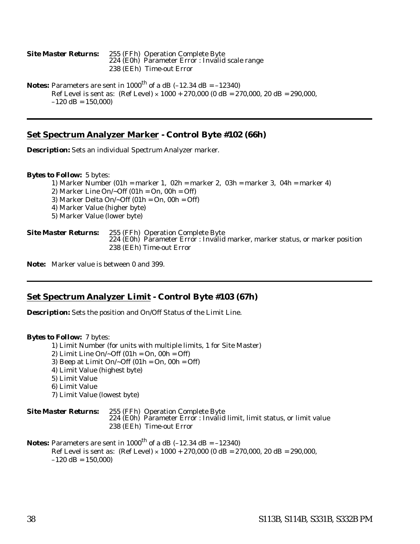<span id="page-43-0"></span>*Site Master Returns:* 255 (FFh) Operation Complete Byte 224 (E0h) Parameter Error : Invalid scale range 238 (EEh) Time-out Error

**Notes:** Parameters are sent in  $1000^{\text{th}}$  of a dB  $(-12.34 \text{ dB} = -12340)$ Ref Level is sent as: (Ref Level)  $\times$  1000 + 270,000 (0 dB = 270,000, 20 dB = 290,000,  $-120$  dB = 150,000)

#### **Set Spectrum Analyzer Marker - Control Byte #102 (66h)**

*Description:* Sets an individual Spectrum Analyzer marker.

#### *Bytes to Follow:* 5 bytes:

1) Marker Number (01h = marker 1, 02h = marker 2, 03h = marker 3, 04h = marker 4) 2) Marker Line On/ $\sim$ Off (01h = On, 00h = Off) 3) Marker Delta  $On/-Off$  (01h = On, 00h = Off) 4) Marker Value (higher byte) 5) Marker Value (lower byte) *Site Master Returns:* 255 (FFh) Operation Complete Byte

224 (E0h) Parameter Error : Invalid marker, marker status, or marker position

238 (EEh) Time-out Error

**Note:** Marker value is between 0 and 399.

# **Set Spectrum Analyzer Limit - Control Byte #103 (67h)**

*Description:* Sets the position and On/Off Status of the Limit Line.

#### *Bytes to Follow:* 7 bytes:

- 1) Limit Number (for units with multiple limits, 1 for Site Master)
- 2) Limit Line  $On/-Off$  (01h = On, 00h = Off)
- 3) Beep at Limit  $On/-Off$  (01h = On, 00h = Off)
- 4) Limit Value (highest byte)
- 5) Limit Value
- 6) Limit Value
- 7) Limit Value (lowest byte)

#### *Site Master Returns:* 255 (FFh) Operation Complete Byte 224 (E0h) Parameter Error : Invalid limit, limit status, or limit value 238 (EEh) Time-out Error

**Notes:** Parameters are sent in  $1000^{\text{th}}$  of a dB  $(-12.34 \text{ dB} = -12340)$ 

```
Ref Level is sent as: (Ref Level) \times 1000 + 270,000 (0 dB = 270,000, 20 dB = 290,000,
-120 dB = 150,000)
```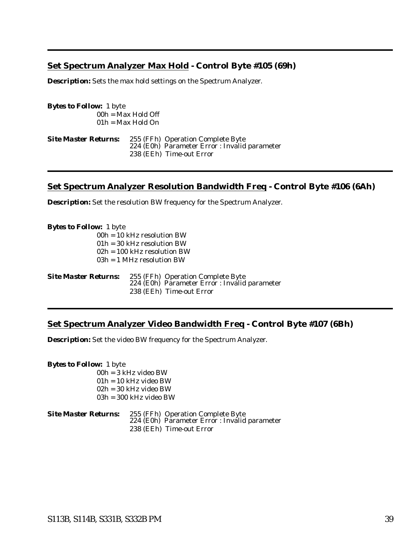# <span id="page-44-0"></span>**Set Spectrum Analyzer Max Hold - Control Byte #105 (69h)**

*Description:* Sets the max hold settings on the Spectrum Analyzer.

*Bytes to Follow:* 1 byte 00h = Max Hold Off 01h = Max Hold On

*Site Master Returns:* 255 (FFh) Operation Complete Byte 224 (E0h) Parameter Error : Invalid parameter 238 (EEh) Time-out Error

#### **Set Spectrum Analyzer Resolution Bandwidth Freq - Control Byte #106 (6Ah)**

**Description:** Set the resolution BW frequency for the Spectrum Analyzer.

*Bytes to Follow:* 1 byte 00h = 10 kHz resolution BW  $01h = 30$  kHz resolution BW 02h = 100 kHz resolution BW 03h = 1 MHz resolution BW *Site Master Returns:* 255 (FFh) Operation Complete Byte

| эне мамет кешіні. | zoo (FFII) Operation Complete Dyte<br>224 (E0h) Parameter Error : Invalid parameter |
|-------------------|-------------------------------------------------------------------------------------|
|                   | 238 (EEh) Time-out Error                                                            |

# **Set Spectrum Analyzer Video Bandwidth Freq - Control Byte #107 (6Bh)**

*Description:* Set the video BW frequency for the Spectrum Analyzer.

*Bytes to Follow:* 1 byte 00h = 3 kHz video BW 01h = 10 kHz video BW 02h = 30 kHz video BW 03h = 300 kHz video BW

| Site Master Returns: | 255 (FFh) Operation Complete Byte<br>224 (E0h) Parameter Error : Invalid parameter |
|----------------------|------------------------------------------------------------------------------------|
|                      | 238 (EEh) Time-out Error                                                           |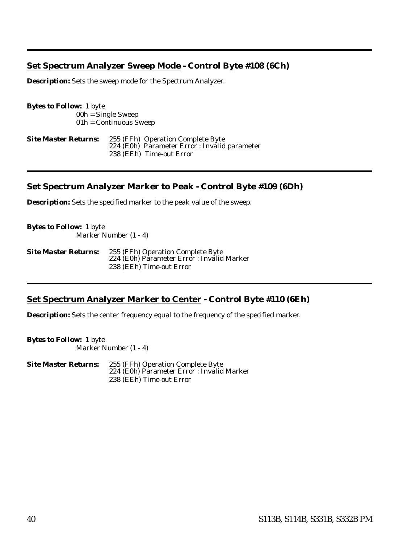# <span id="page-45-0"></span>**Set Spectrum Analyzer Sweep Mode - Control Byte #108 (6Ch)**

*Description:* Sets the sweep mode for the Spectrum Analyzer.

*Bytes to Follow:* 1 byte 00h = Single Sweep 01h = Continuous Sweep

*Site Master Returns:* 255 (FFh) Operation Complete Byte 224 (E0h) Parameter Error : Invalid parameter 238 (EEh) Time-out Error

# **Set Spectrum Analyzer Marker to Peak - Control Byte #109 (6Dh)**

*Description:* Sets the specified marker to the peak value of the sweep.

*Bytes to Follow:* 1 byte Marker Number (1 - 4)

| <i><b>Site Master Returns:</b></i> | 255 (FFh) Operation Complete Byte<br>224 (E0h) Parameter Error : Invalid Marker |
|------------------------------------|---------------------------------------------------------------------------------|
|                                    | 238 (EEh) Time-out Error                                                        |

# **Set Spectrum Analyzer Marker to Center - Control Byte #110 (6Eh)**

**Description:** Sets the center frequency equal to the frequency of the specified marker.

*Bytes to Follow:* 1 byte Marker Number (1 - 4)

*Site Master Returns:* 255 (FFh) Operation Complete Byte 224 (E0h) Parameter Error : Invalid Marker 238 (EEh) Time-out Error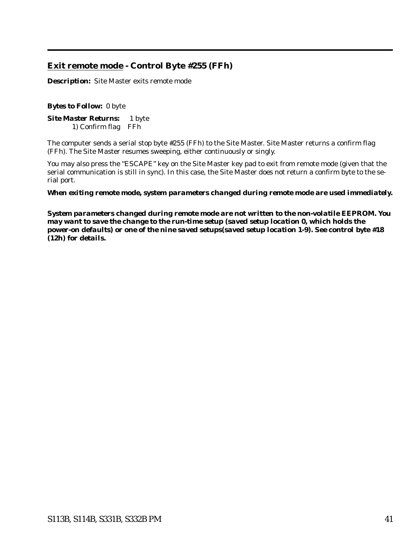# <span id="page-46-0"></span>**Exit remote mode - Control Byte #255 (FFh)**

*Description:* Site Master exits remote mode

#### *Bytes to Follow:* 0 byte

*Site Master Returns:* 1 byte 1) Confirm flag FFh

The computer sends a serial stop byte #255 (FFh) to the Site Master. Site Master returns a confirm flag (FFh). The Site Master resumes sweeping, either continuously or singly.

You may also press the "ESCAPE" key on the Site Master key pad to exit from remote mode (given that the serial communication is still in sync). In this case, the Site Master does not return a confirm byte to the serial port.

#### *When exiting remote mode, system parameters changed during remote mode are used immediately.*

*System parameters changed during remote mode are not written to the non-volatile EEPROM. You may want to save the change to the run-time setup (saved setup location 0, which holds the power-on defaults) or one of the nine saved setups(saved setup location 1-9). See control byte #18 (12h) for details.*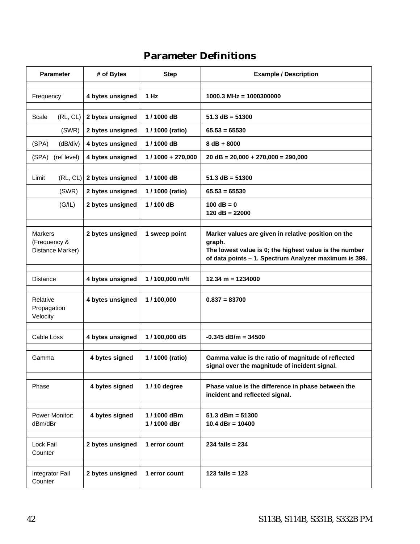# **Parameter Definitions**

<span id="page-47-0"></span>

| <b>Parameter</b>                                   | # of Bytes       | <b>Step</b>              | <b>Example / Description</b>                                                                                                                                                     |
|----------------------------------------------------|------------------|--------------------------|----------------------------------------------------------------------------------------------------------------------------------------------------------------------------------|
| Frequency                                          | 4 bytes unsigned | 1 Hz                     | 1000.3 MHz = $1000300000$                                                                                                                                                        |
|                                                    |                  |                          |                                                                                                                                                                                  |
| (RL, CL)<br>Scale                                  | 2 bytes unsigned | 1/1000 dB                | $51.3$ dB = 51300                                                                                                                                                                |
| (SWR)                                              | 2 bytes unsigned | 1 / 1000 (ratio)         | $65.53 = 65530$                                                                                                                                                                  |
| (SPA)<br>(dB/div)                                  | 4 bytes unsigned | 1/1000 dB                | $8 dB + 8000$                                                                                                                                                                    |
| (SPA)<br>(ref level)                               | 4 bytes unsigned | $1/1000 + 270,000$       | $20 dB = 20,000 + 270,000 = 290,000$                                                                                                                                             |
| Limit<br>(RL, CL)                                  | 2 bytes unsigned | 1/1000 dB                | $51.3$ dB = $51300$                                                                                                                                                              |
| (SWR)                                              | 2 bytes unsigned | 1 / 1000 (ratio)         | $65.53 = 65530$                                                                                                                                                                  |
| (G/IL)                                             | 2 bytes unsigned | 1/100 dB                 | $100 dB = 0$<br>$120 dB = 22000$                                                                                                                                                 |
| <b>Markers</b><br>(Frequency &<br>Distance Marker) | 2 bytes unsigned | 1 sweep point            | Marker values are given in relative position on the<br>graph.<br>The lowest value is 0; the highest value is the number<br>of data points - 1. Spectrum Analyzer maximum is 399. |
| <b>Distance</b>                                    | 4 bytes unsigned | 1 / 100,000 m/ft         | $12.34 m = 1234000$                                                                                                                                                              |
| Relative<br>Propagation<br>Velocity                | 4 bytes unsigned | 1/100,000                | $0.837 = 83700$                                                                                                                                                                  |
| Cable Loss                                         | 4 bytes unsigned | 1/100,000 dB             | $-0.345$ dB/m = 34500                                                                                                                                                            |
|                                                    |                  |                          |                                                                                                                                                                                  |
| Gamma                                              | 4 bytes signed   | 1 / 1000 (ratio)         | Gamma value is the ratio of magnitude of reflected<br>signal over the magnitude of incident signal.                                                                              |
| Phase                                              | 4 bytes signed   | 1/10 degree              | Phase value is the difference in phase between the<br>incident and reflected signal.                                                                                             |
| Power Monitor:<br>dBm/dBr                          | 4 bytes signed   | 1/1000 dBm<br>1/1000 dBr | $51.3$ dBm = $51300$<br>$10.4$ dBr = $10400$                                                                                                                                     |
| Lock Fail<br>Counter                               | 2 bytes unsigned | 1 error count            | $234$ fails = $234$                                                                                                                                                              |
| Integrator Fail<br>Counter                         | 2 bytes unsigned | 1 error count            | 123 fails = $123$                                                                                                                                                                |